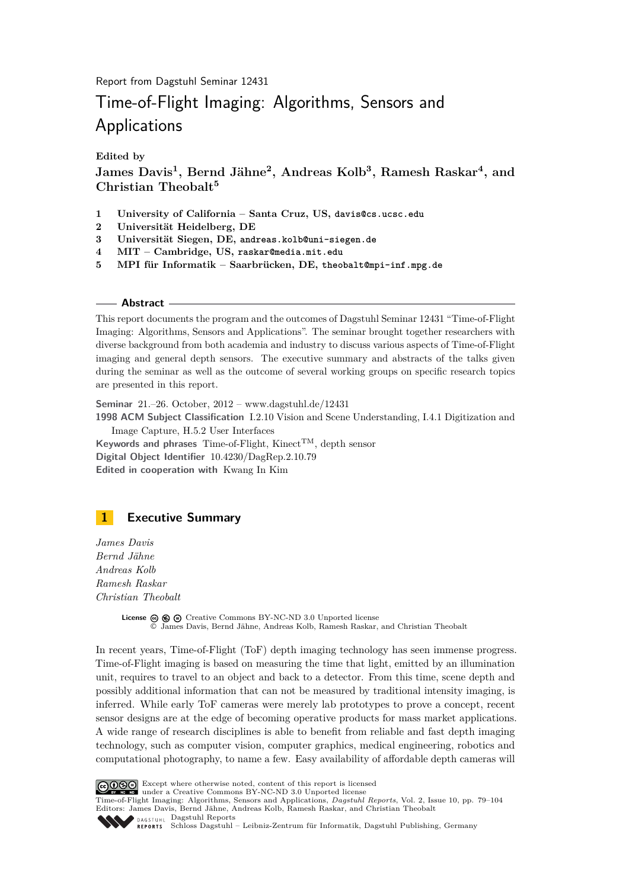Report from Dagstuhl Seminar 12431

# Time-of-Flight Imaging: Algorithms, Sensors and Applications

**Edited by**

**James Davis<sup>1</sup> , Bernd Jähne<sup>2</sup> , Andreas Kolb<sup>3</sup> , Ramesh Raskar<sup>4</sup> , and Christian Theobalt<sup>5</sup>**

- **1 University of California Santa Cruz, US, davis@cs.ucsc.edu**
- **2 Universität Heidelberg, DE**
- **3 Universität Siegen, DE, andreas.kolb@uni-siegen.de**
- **4 MIT Cambridge, US, raskar@media.mit.edu**
- **5 MPI für Informatik Saarbrücken, DE, theobalt@mpi-inf.mpg.de**

#### **Abstract**

This report documents the program and the outcomes of Dagstuhl Seminar 12431 "Time-of-Flight Imaging: Algorithms, Sensors and Applications". The seminar brought together researchers with diverse background from both academia and industry to discuss various aspects of Time-of-Flight imaging and general depth sensors. The executive summary and abstracts of the talks given during the seminar as well as the outcome of several working groups on specific research topics are presented in this report.

**Seminar** 21.–26. October, 2012 – [www.dagstuhl.de/12431](http://www.dagstuhl.de/12431) **1998 ACM Subject Classification** I.2.10 Vision and Scene Understanding, I.4.1 Digitization and Image Capture, H.5.2 User Interfaces Keywords and phrases Time-of-Flight, Kinect<sup>TM</sup>, depth sensor **Digital Object Identifier** [10.4230/DagRep.2.10.79](http://dx.doi.org/10.4230/DagRep.2.10.79) **Edited in cooperation with** Kwang In Kim

## <span id="page-0-0"></span>**1 Executive Summary**

*James Davis Bernd Jähne Andreas Kolb Ramesh Raskar Christian Theobalt*

> **License ⓒ <b>ⓒ ⊝** [Creative Commons BY-NC-ND 3.0 Unported](http://creativecommons.org/licenses/by-nc-nd/3.0/) license © [James Davis, Bernd Jähne, Andreas Kolb, Ramesh Raskar, and Christian Theobalt](#page-0-0)

In recent years, Time-of-Flight (ToF) depth imaging technology has seen immense progress. Time-of-Flight imaging is based on measuring the time that light, emitted by an illumination unit, requires to travel to an object and back to a detector. From this time, scene depth and possibly additional information that can not be measured by traditional intensity imaging, is inferred. While early ToF cameras were merely lab prototypes to prove a concept, recent sensor designs are at the edge of becoming operative products for mass market applications. A wide range of research disciplines is able to benefit from reliable and fast depth imaging technology, such as computer vision, computer graphics, medical engineering, robotics and computational photography, to name a few. Easy availability of affordable depth cameras will



Except where otherwise noted, content of this report is licensed under a [Creative Commons BY-NC-ND 3.0 Unported](http://creativecommons.org/licenses/by-nc-nd/3.0/) license

Time-of-Flight Imaging: Algorithms, Sensors and Applications, *Dagstuhl Reports*, Vol. 2, Issue 10, pp. 79[–104](#page-25-0) Editors: James Davis, Bernd Jähne, Andreas Kolb, Ramesh Raskar, and Christian Theobalt

DAGSTUHL [Dagstuhl Reports](http://www.dagstuhl.de/dagstuhl-reports/)

[Schloss Dagstuhl – Leibniz-Zentrum für Informatik, Dagstuhl Publishing, Germany](http://www.dagstuhl.de)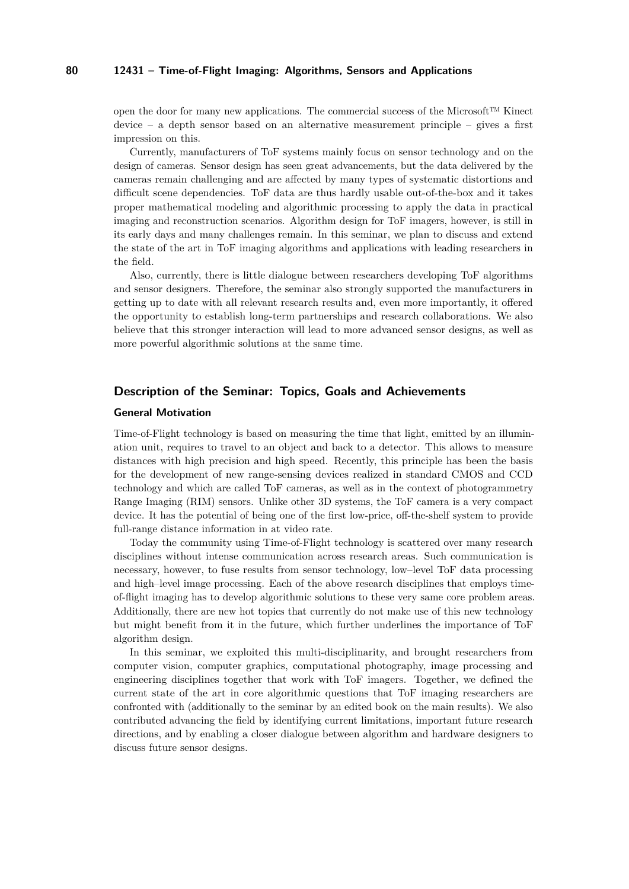open the door for many new applications. The commercial success of the Microsoft™ Kinect device – a depth sensor based on an alternative measurement principle – gives a first impression on this.

Currently, manufacturers of ToF systems mainly focus on sensor technology and on the design of cameras. Sensor design has seen great advancements, but the data delivered by the cameras remain challenging and are affected by many types of systematic distortions and difficult scene dependencies. ToF data are thus hardly usable out-of-the-box and it takes proper mathematical modeling and algorithmic processing to apply the data in practical imaging and reconstruction scenarios. Algorithm design for ToF imagers, however, is still in its early days and many challenges remain. In this seminar, we plan to discuss and extend the state of the art in ToF imaging algorithms and applications with leading researchers in the field.

Also, currently, there is little dialogue between researchers developing ToF algorithms and sensor designers. Therefore, the seminar also strongly supported the manufacturers in getting up to date with all relevant research results and, even more importantly, it offered the opportunity to establish long-term partnerships and research collaborations. We also believe that this stronger interaction will lead to more advanced sensor designs, as well as more powerful algorithmic solutions at the same time.

#### **Description of the Seminar: Topics, Goals and Achievements**

#### **General Motivation**

Time-of-Flight technology is based on measuring the time that light, emitted by an illumination unit, requires to travel to an object and back to a detector. This allows to measure distances with high precision and high speed. Recently, this principle has been the basis for the development of new range-sensing devices realized in standard CMOS and CCD technology and which are called ToF cameras, as well as in the context of photogrammetry Range Imaging (RIM) sensors. Unlike other 3D systems, the ToF camera is a very compact device. It has the potential of being one of the first low-price, off-the-shelf system to provide full-range distance information in at video rate.

Today the community using Time-of-Flight technology is scattered over many research disciplines without intense communication across research areas. Such communication is necessary, however, to fuse results from sensor technology, low–level ToF data processing and high–level image processing. Each of the above research disciplines that employs timeof-flight imaging has to develop algorithmic solutions to these very same core problem areas. Additionally, there are new hot topics that currently do not make use of this new technology but might benefit from it in the future, which further underlines the importance of ToF algorithm design.

In this seminar, we exploited this multi-disciplinarity, and brought researchers from computer vision, computer graphics, computational photography, image processing and engineering disciplines together that work with ToF imagers. Together, we defined the current state of the art in core algorithmic questions that ToF imaging researchers are confronted with (additionally to the seminar by an edited book on the main results). We also contributed advancing the field by identifying current limitations, important future research directions, and by enabling a closer dialogue between algorithm and hardware designers to discuss future sensor designs.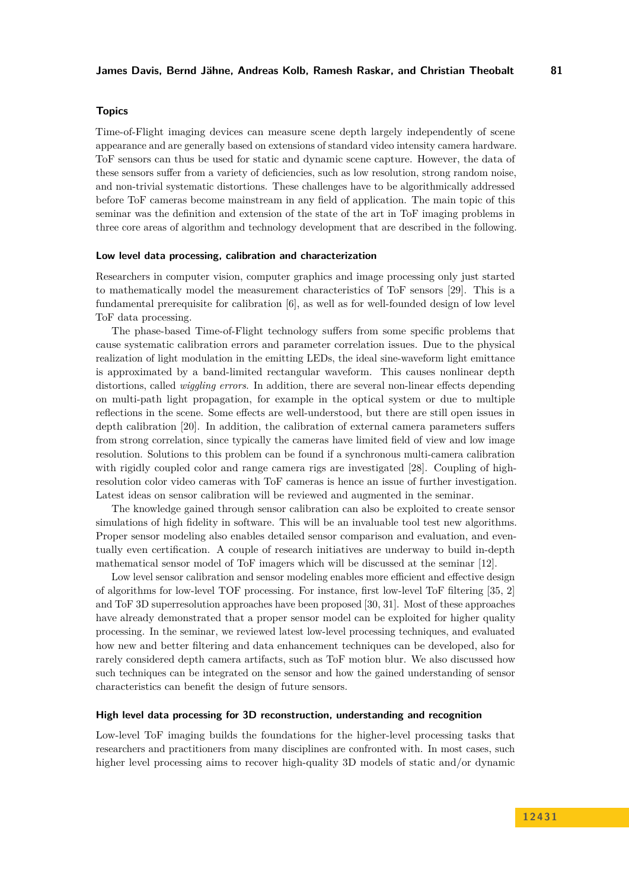#### **Topics**

Time-of-Flight imaging devices can measure scene depth largely independently of scene appearance and are generally based on extensions of standard video intensity camera hardware. ToF sensors can thus be used for static and dynamic scene capture. However, the data of these sensors suffer from a variety of deficiencies, such as low resolution, strong random noise, and non-trivial systematic distortions. These challenges have to be algorithmically addressed before ToF cameras become mainstream in any field of application. The main topic of this seminar was the definition and extension of the state of the art in ToF imaging problems in three core areas of algorithm and technology development that are described in the following.

#### **Low level data processing, calibration and characterization**

Researchers in computer vision, computer graphics and image processing only just started to mathematically model the measurement characteristics of ToF sensors [\[29\]](#page-23-0). This is a fundamental prerequisite for calibration [\[6\]](#page-22-0), as well as for well-founded design of low level ToF data processing.

The phase-based Time-of-Flight technology suffers from some specific problems that cause systematic calibration errors and parameter correlation issues. Due to the physical realization of light modulation in the emitting LEDs, the ideal sine-waveform light emittance is approximated by a band-limited rectangular waveform. This causes nonlinear depth distortions, called *wiggling errors*. In addition, there are several non-linear effects depending on multi-path light propagation, for example in the optical system or due to multiple reflections in the scene. Some effects are well-understood, but there are still open issues in depth calibration [\[20\]](#page-23-1). In addition, the calibration of external camera parameters suffers from strong correlation, since typically the cameras have limited field of view and low image resolution. Solutions to this problem can be found if a synchronous multi-camera calibration with rigidly coupled color and range camera rigs are investigated [\[28\]](#page-23-2). Coupling of highresolution color video cameras with ToF cameras is hence an issue of further investigation. Latest ideas on sensor calibration will be reviewed and augmented in the seminar.

The knowledge gained through sensor calibration can also be exploited to create sensor simulations of high fidelity in software. This will be an invaluable tool test new algorithms. Proper sensor modeling also enables detailed sensor comparison and evaluation, and eventually even certification. A couple of research initiatives are underway to build in-depth mathematical sensor model of ToF imagers which will be discussed at the seminar [\[12\]](#page-22-1).

Low level sensor calibration and sensor modeling enables more efficient and effective design of algorithms for low-level TOF processing. For instance, first low-level ToF filtering [\[35,](#page-24-0) [2\]](#page-22-2) and ToF 3D superresolution approaches have been proposed [\[30,](#page-24-1) [31\]](#page-24-2). Most of these approaches have already demonstrated that a proper sensor model can be exploited for higher quality processing. In the seminar, we reviewed latest low-level processing techniques, and evaluated how new and better filtering and data enhancement techniques can be developed, also for rarely considered depth camera artifacts, such as ToF motion blur. We also discussed how such techniques can be integrated on the sensor and how the gained understanding of sensor characteristics can benefit the design of future sensors.

#### **High level data processing for 3D reconstruction, understanding and recognition**

Low-level ToF imaging builds the foundations for the higher-level processing tasks that researchers and practitioners from many disciplines are confronted with. In most cases, such higher level processing aims to recover high-quality 3D models of static and/or dynamic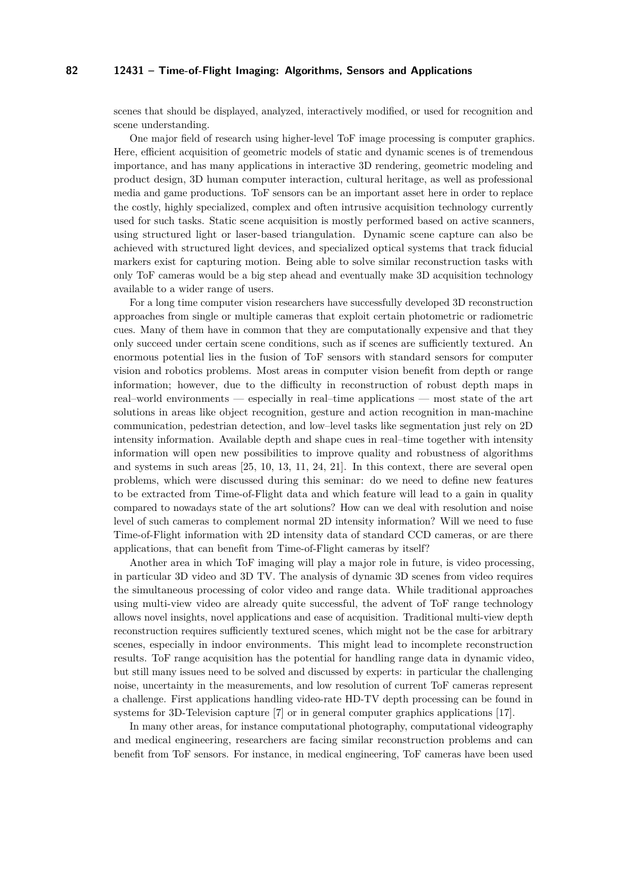scenes that should be displayed, analyzed, interactively modified, or used for recognition and scene understanding.

One major field of research using higher-level ToF image processing is computer graphics. Here, efficient acquisition of geometric models of static and dynamic scenes is of tremendous importance, and has many applications in interactive 3D rendering, geometric modeling and product design, 3D human computer interaction, cultural heritage, as well as professional media and game productions. ToF sensors can be an important asset here in order to replace the costly, highly specialized, complex and often intrusive acquisition technology currently used for such tasks. Static scene acquisition is mostly performed based on active scanners, using structured light or laser-based triangulation. Dynamic scene capture can also be achieved with structured light devices, and specialized optical systems that track fiducial markers exist for capturing motion. Being able to solve similar reconstruction tasks with only ToF cameras would be a big step ahead and eventually make 3D acquisition technology available to a wider range of users.

For a long time computer vision researchers have successfully developed 3D reconstruction approaches from single or multiple cameras that exploit certain photometric or radiometric cues. Many of them have in common that they are computationally expensive and that they only succeed under certain scene conditions, such as if scenes are sufficiently textured. An enormous potential lies in the fusion of ToF sensors with standard sensors for computer vision and robotics problems. Most areas in computer vision benefit from depth or range information; however, due to the difficulty in reconstruction of robust depth maps in real–world environments — especially in real–time applications — most state of the art solutions in areas like object recognition, gesture and action recognition in man-machine communication, pedestrian detection, and low–level tasks like segmentation just rely on 2D intensity information. Available depth and shape cues in real–time together with intensity information will open new possibilities to improve quality and robustness of algorithms and systems in such areas [\[25,](#page-23-3) [10,](#page-22-3) [13,](#page-22-4) [11,](#page-22-5) [24,](#page-23-4) [21\]](#page-23-5). In this context, there are several open problems, which were discussed during this seminar: do we need to define new features to be extracted from Time-of-Flight data and which feature will lead to a gain in quality compared to nowadays state of the art solutions? How can we deal with resolution and noise level of such cameras to complement normal 2D intensity information? Will we need to fuse Time-of-Flight information with 2D intensity data of standard CCD cameras, or are there applications, that can benefit from Time-of-Flight cameras by itself?

Another area in which ToF imaging will play a major role in future, is video processing, in particular 3D video and 3D TV. The analysis of dynamic 3D scenes from video requires the simultaneous processing of color video and range data. While traditional approaches using multi-view video are already quite successful, the advent of ToF range technology allows novel insights, novel applications and ease of acquisition. Traditional multi-view depth reconstruction requires sufficiently textured scenes, which might not be the case for arbitrary scenes, especially in indoor environments. This might lead to incomplete reconstruction results. ToF range acquisition has the potential for handling range data in dynamic video, but still many issues need to be solved and discussed by experts: in particular the challenging noise, uncertainty in the measurements, and low resolution of current ToF cameras represent a challenge. First applications handling video-rate HD-TV depth processing can be found in systems for 3D-Television capture [\[7\]](#page-22-6) or in general computer graphics applications [\[17\]](#page-23-6).

In many other areas, for instance computational photography, computational videography and medical engineering, researchers are facing similar reconstruction problems and can benefit from ToF sensors. For instance, in medical engineering, ToF cameras have been used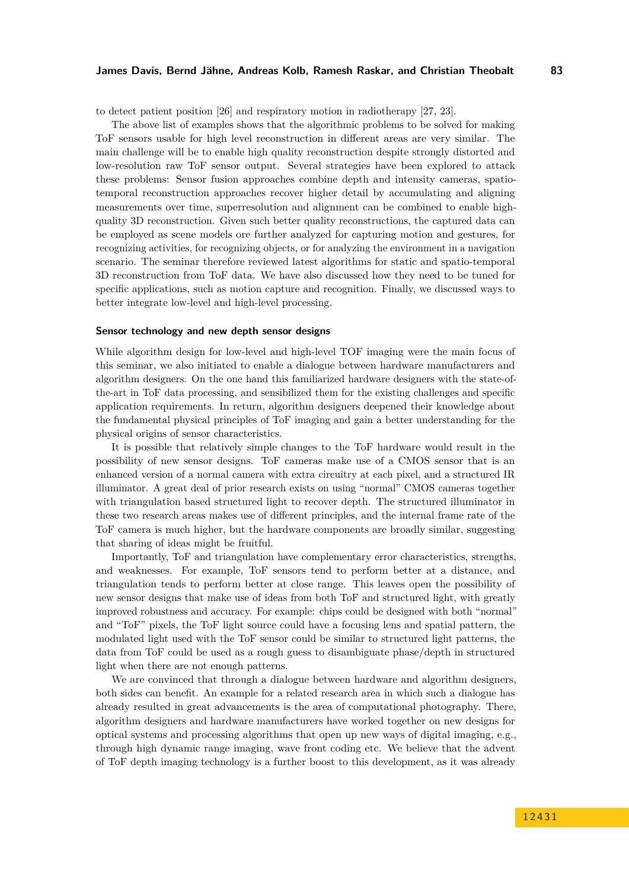#### **James Davis, Bernd Jähne, Andreas Kolb, Ramesh Raskar, and Christian Theobalt 83**

to detect patient position [\[26\]](#page-23-7) and respiratory motion in radiotherapy [\[27,](#page-23-8) [23\]](#page-23-9).

The above list of examples shows that the algorithmic problems to be solved for making ToF sensors usable for high level reconstruction in different areas are very similar. The main challenge will be to enable high quality reconstruction despite strongly distorted and low-resolution raw ToF sensor output. Several strategies have been explored to attack these problems: Sensor fusion approaches combine depth and intensity cameras, spatiotemporal reconstruction approaches recover higher detail by accumulating and aligning measurements over time, superresolution and alignment can be combined to enable highquality 3D reconstruction. Given such better quality reconstructions, the captured data can be employed as scene models ore further analyzed for capturing motion and gestures, for recognizing activities, for recognizing objects, or for analyzing the environment in a navigation scenario. The seminar therefore reviewed latest algorithms for static and spatio-temporal 3D reconstruction from ToF data. We have also discussed how they need to be tuned for specific applications, such as motion capture and recognition. Finally, we discussed ways to better integrate low-level and high-level processing.

#### **Sensor technology and new depth sensor designs**

While algorithm design for low-level and high-level TOF imaging were the main focus of this seminar, we also initiated to enable a dialogue between hardware manufacturers and algorithm designers. On the one hand this familiarized hardware designers with the state-ofthe-art in ToF data processing, and sensibilized them for the existing challenges and specific application requirements. In return, algorithm designers deepened their knowledge about the fundamental physical principles of ToF imaging and gain a better understanding for the physical origins of sensor characteristics.

It is possible that relatively simple changes to the ToF hardware would result in the possibility of new sensor designs. ToF cameras make use of a CMOS sensor that is an enhanced version of a normal camera with extra circuitry at each pixel, and a structured IR illuminator. A great deal of prior research exists on using "normal" CMOS cameras together with triangulation based structured light to recover depth. The structured illuminator in these two research areas makes use of different principles, and the internal frame rate of the ToF camera is much higher, but the hardware components are broadly similar, suggesting that sharing of ideas might be fruitful.

Importantly, ToF and triangulation have complementary error characteristics, strengths, and weaknesses. For example, ToF sensors tend to perform better at a distance, and triangulation tends to perform better at close range. This leaves open the possibility of new sensor designs that make use of ideas from both ToF and structured light, with greatly improved robustness and accuracy. For example: chips could be designed with both "normal" and "ToF" pixels, the ToF light source could have a focusing lens and spatial pattern, the modulated light used with the ToF sensor could be similar to structured light patterns, the data from ToF could be used as a rough guess to disambiguate phase/depth in structured light when there are not enough patterns.

We are convinced that through a dialogue between hardware and algorithm designers, both sides can benefit. An example for a related research area in which such a dialogue has already resulted in great advancements is the area of computational photography. There, algorithm designers and hardware manufacturers have worked together on new designs for optical systems and processing algorithms that open up new ways of digital imaging, e.g., through high dynamic range imaging, wave front coding etc. We believe that the advent of ToF depth imaging technology is a further boost to this development, as it was already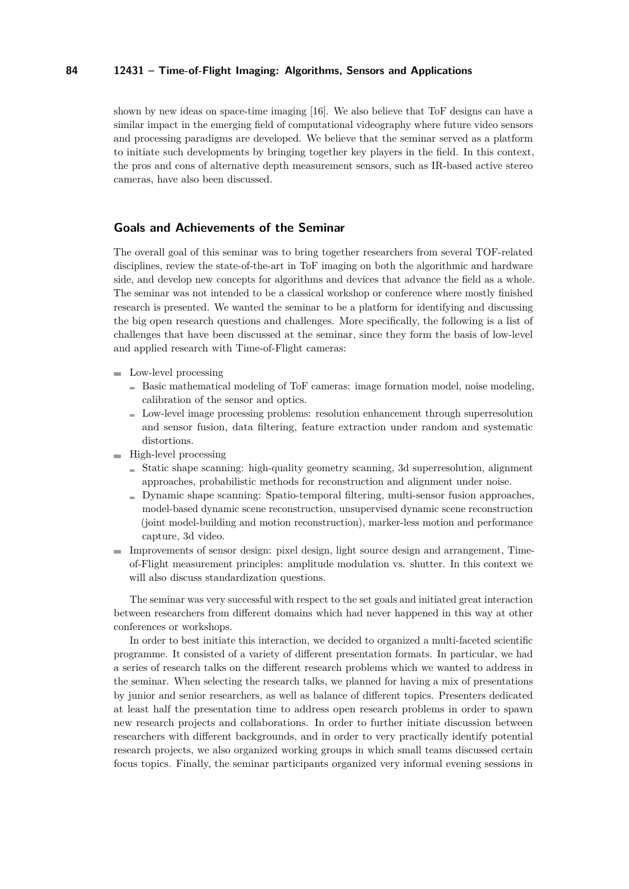shown by new ideas on space-time imaging [\[16\]](#page-23-10). We also believe that ToF designs can have a similar impact in the emerging field of computational videography where future video sensors and processing paradigms are developed. We believe that the seminar served as a platform to initiate such developments by bringing together key players in the field. In this context, the pros and cons of alternative depth measurement sensors, such as IR-based active stereo cameras, have also been discussed.

#### **Goals and Achievements of the Seminar**

The overall goal of this seminar was to bring together researchers from several TOF-related disciplines, review the state-of-the-art in ToF imaging on both the algorithmic and hardware side, and develop new concepts for algorithms and devices that advance the field as a whole. The seminar was not intended to be a classical workshop or conference where mostly finished research is presented. We wanted the seminar to be a platform for identifying and discussing the big open research questions and challenges. More specifically, the following is a list of challenges that have been discussed at the seminar, since they form the basis of low-level and applied research with Time-of-Flight cameras:

- Low-level processing
	- $\blacksquare$  Basic mathematical modeling of ToF cameras: image formation model, noise modeling, calibration of the sensor and optics.
	- Low-level image processing problems: resolution enhancement through superresolution and sensor fusion, data filtering, feature extraction under random and systematic distortions.
- $\blacksquare$  High-level processing
	- $S$  Static shape scanning: high-quality geometry scanning, 3d superresolution, alignment approaches, probabilistic methods for reconstruction and alignment under noise.
	- Dynamic shape scanning: Spatio-temporal filtering, multi-sensor fusion approaches, model-based dynamic scene reconstruction, unsupervised dynamic scene reconstruction (joint model-building and motion reconstruction), marker-less motion and performance capture, 3d video.
- Improvements of sensor design: pixel design, light source design and arrangement, Timeof-Flight measurement principles: amplitude modulation vs. shutter. In this context we will also discuss standardization questions.

The seminar was very successful with respect to the set goals and initiated great interaction between researchers from different domains which had never happened in this way at other conferences or workshops.

In order to best initiate this interaction, we decided to organized a multi-faceted scientific programme. It consisted of a variety of different presentation formats. In particular, we had a series of research talks on the different research problems which we wanted to address in the seminar. When selecting the research talks, we planned for having a mix of presentations by junior and senior researchers, as well as balance of different topics. Presenters dedicated at least half the presentation time to address open research problems in order to spawn new research projects and collaborations. In order to further initiate discussion between researchers with different backgrounds, and in order to very practically identify potential research projects, we also organized working groups in which small teams discussed certain focus topics. Finally, the seminar participants organized very informal evening sessions in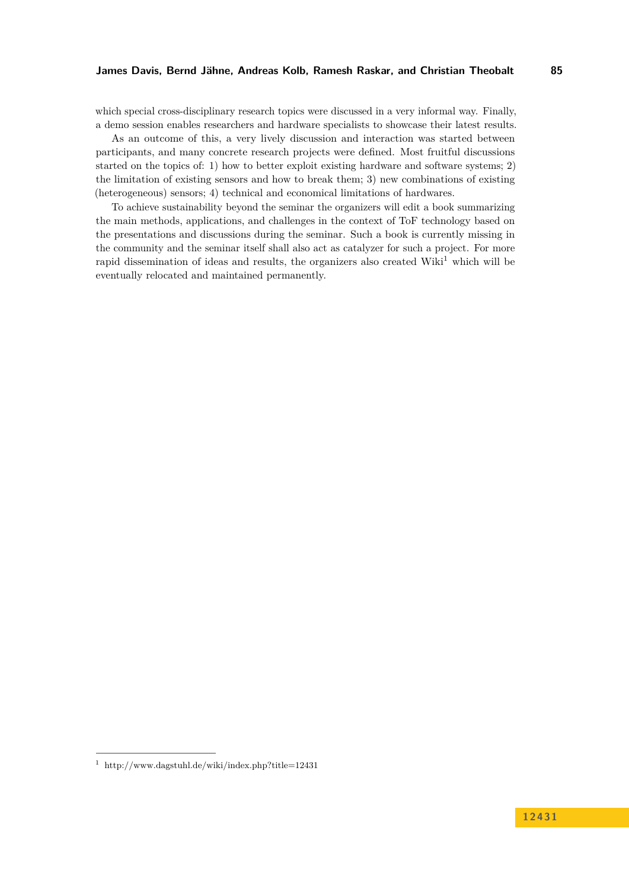which special cross-disciplinary research topics were discussed in a very informal way. Finally, a demo session enables researchers and hardware specialists to showcase their latest results.

As an outcome of this, a very lively discussion and interaction was started between participants, and many concrete research projects were defined. Most fruitful discussions started on the topics of: 1) how to better exploit existing hardware and software systems; 2) the limitation of existing sensors and how to break them; 3) new combinations of existing (heterogeneous) sensors; 4) technical and economical limitations of hardwares.

To achieve sustainability beyond the seminar the organizers will edit a book summarizing the main methods, applications, and challenges in the context of ToF technology based on the presentations and discussions during the seminar. Such a book is currently missing in the community and the seminar itself shall also act as catalyzer for such a project. For more rapid dissemination of ideas and results, the organizers also created Wiki<sup>1</sup> which will be eventually relocated and maintained permanently.

 $1$  <http://www.dagstuhl.de/wiki/index.php?title=12431>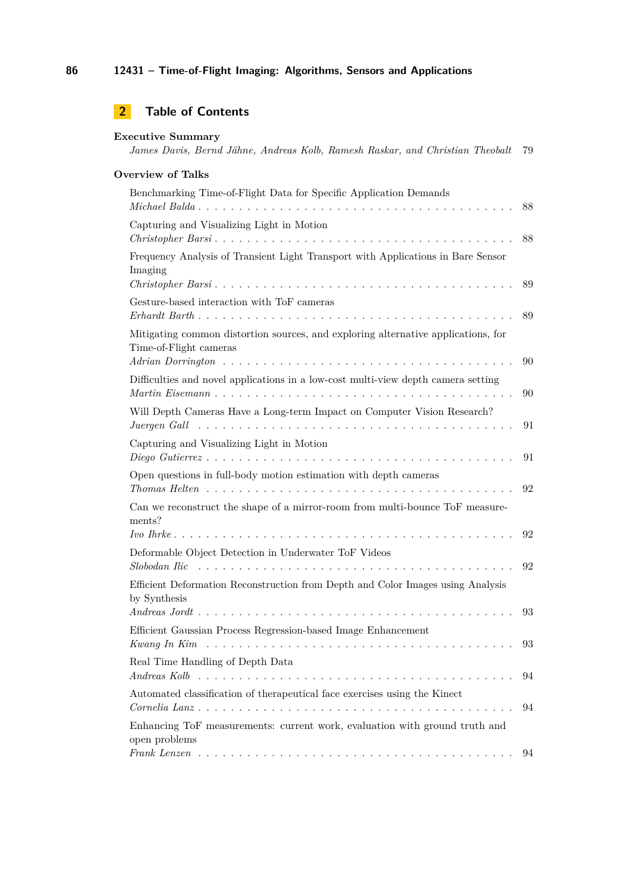| <b>Overview of Talks</b>                                                                                    |          |
|-------------------------------------------------------------------------------------------------------------|----------|
|                                                                                                             |          |
| Benchmarking Time-of-Flight Data for Specific Application Demands                                           | 88       |
| Capturing and Visualizing Light in Motion                                                                   | 88       |
| Frequency Analysis of Transient Light Transport with Applications in Bare Sensor<br>Imaging                 | 89       |
| Gesture-based interaction with ToF cameras                                                                  | 89       |
| Mitigating common distortion sources, and exploring alternative applications, for<br>Time-of-Flight cameras |          |
| Difficulties and novel applications in a low-cost multi-view depth camera setting                           | 90       |
| Will Depth Cameras Have a Long-term Impact on Computer Vision Research?                                     | 90<br>91 |
| Capturing and Visualizing Light in Motion                                                                   | 91       |
| Open questions in full-body motion estimation with depth cameras                                            | 92       |
| Can we reconstruct the shape of a mirror-room from multi-bounce ToF measure-<br>ments?                      |          |
| Deformable Object Detection in Underwater ToF Videos                                                        | 92       |
| Efficient Deformation Reconstruction from Depth and Color Images using Analysis<br>by Synthesis             | 92       |
| Efficient Gaussian Process Regression-based Image Enhancement                                               | 93       |
| Real Time Handling of Depth Data                                                                            | 93       |
|                                                                                                             | 94       |
| Automated classification of therapeutical face exercises using the Kinect                                   | 94       |
| Enhancing ToF measurements: current work, evaluation with ground truth and<br>open problems                 | 94       |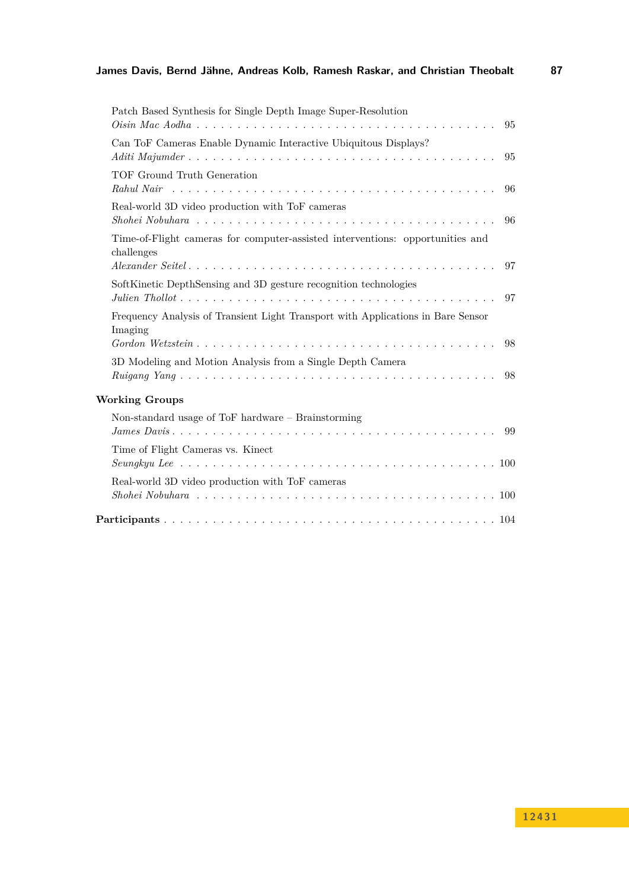| Patch Based Synthesis for Single Depth Image Super-Resolution                               | 95 |
|---------------------------------------------------------------------------------------------|----|
| Can ToF Cameras Enable Dynamic Interactive Ubiquitous Displays?                             | 95 |
| TOF Ground Truth Generation                                                                 | 96 |
| Real-world 3D video production with ToF cameras                                             | 96 |
| Time-of-Flight cameras for computer-assisted interventions: opportunities and<br>challenges |    |
|                                                                                             | 97 |
| SoftKinetic DepthSensing and 3D gesture recognition technologies                            | 97 |
| Frequency Analysis of Transient Light Transport with Applications in Bare Sensor<br>Imaging | 98 |
| 3D Modeling and Motion Analysis from a Single Depth Camera                                  | 98 |
| <b>Working Groups</b>                                                                       |    |
| Non-standard usage of ToF hardware $-$ Brainstorming                                        | 99 |
| Time of Flight Cameras vs. Kinect                                                           |    |
| Real-world 3D video production with ToF cameras                                             |    |
|                                                                                             |    |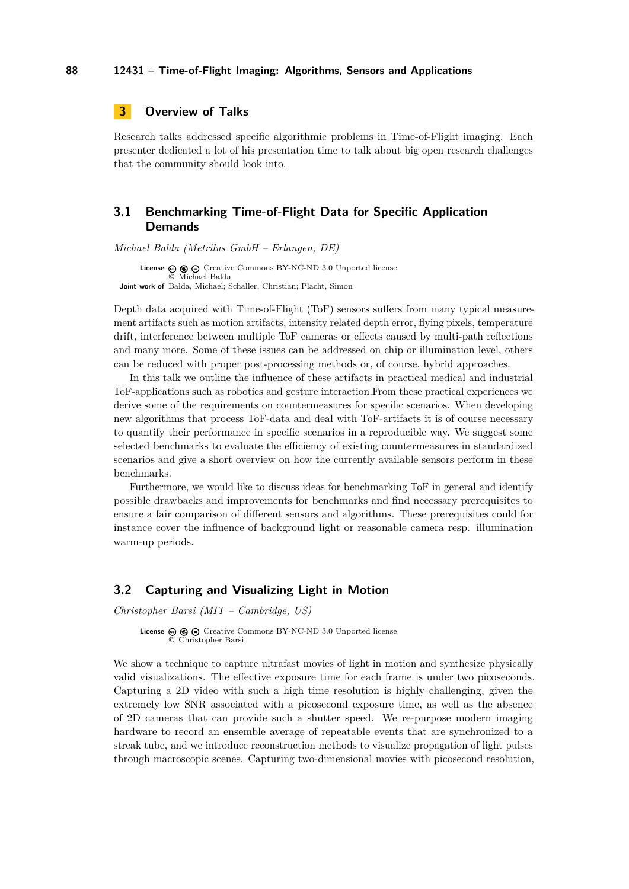## <span id="page-9-0"></span>**3 Overview of Talks**

Research talks addressed specific algorithmic problems in Time-of-Flight imaging. Each presenter dedicated a lot of his presentation time to talk about big open research challenges that the community should look into.

## <span id="page-9-1"></span>**3.1 Benchmarking Time-of-Flight Data for Specific Application Demands**

*Michael Balda (Metrilus GmbH – Erlangen, DE)*

License  $\circledast \circledast \circledast$  [Creative Commons BY-NC-ND 3.0 Unported](http://creativecommons.org/licenses/by-nc-nd/3.0/) license © [Michael Balda](#page-9-1) **Joint work of** Balda, Michael; Schaller, Christian; Placht, Simon

Depth data acquired with Time-of-Flight (ToF) sensors suffers from many typical measurement artifacts such as motion artifacts, intensity related depth error, flying pixels, temperature drift, interference between multiple ToF cameras or effects caused by multi-path reflections and many more. Some of these issues can be addressed on chip or illumination level, others can be reduced with proper post-processing methods or, of course, hybrid approaches.

In this talk we outline the influence of these artifacts in practical medical and industrial ToF-applications such as robotics and gesture interaction.From these practical experiences we derive some of the requirements on countermeasures for specific scenarios. When developing new algorithms that process ToF-data and deal with ToF-artifacts it is of course necessary to quantify their performance in specific scenarios in a reproducible way. We suggest some selected benchmarks to evaluate the efficiency of existing countermeasures in standardized scenarios and give a short overview on how the currently available sensors perform in these benchmarks.

Furthermore, we would like to discuss ideas for benchmarking ToF in general and identify possible drawbacks and improvements for benchmarks and find necessary prerequisites to ensure a fair comparison of different sensors and algorithms. These prerequisites could for instance cover the influence of background light or reasonable camera resp. illumination warm-up periods.

#### <span id="page-9-2"></span>**3.2 Capturing and Visualizing Light in Motion**

*Christopher Barsi (MIT – Cambridge, US)*

License  $\circledcirc$   $\circledcirc$   $\circledcirc$  [Creative Commons BY-NC-ND 3.0 Unported](http://creativecommons.org/licenses/by-nc-nd/3.0/) license © [Christopher Barsi](#page-9-2)

We show a technique to capture ultrafast movies of light in motion and synthesize physically valid visualizations. The effective exposure time for each frame is under two picoseconds. Capturing a 2D video with such a high time resolution is highly challenging, given the extremely low SNR associated with a picosecond exposure time, as well as the absence of 2D cameras that can provide such a shutter speed. We re-purpose modern imaging hardware to record an ensemble average of repeatable events that are synchronized to a streak tube, and we introduce reconstruction methods to visualize propagation of light pulses through macroscopic scenes. Capturing two-dimensional movies with picosecond resolution,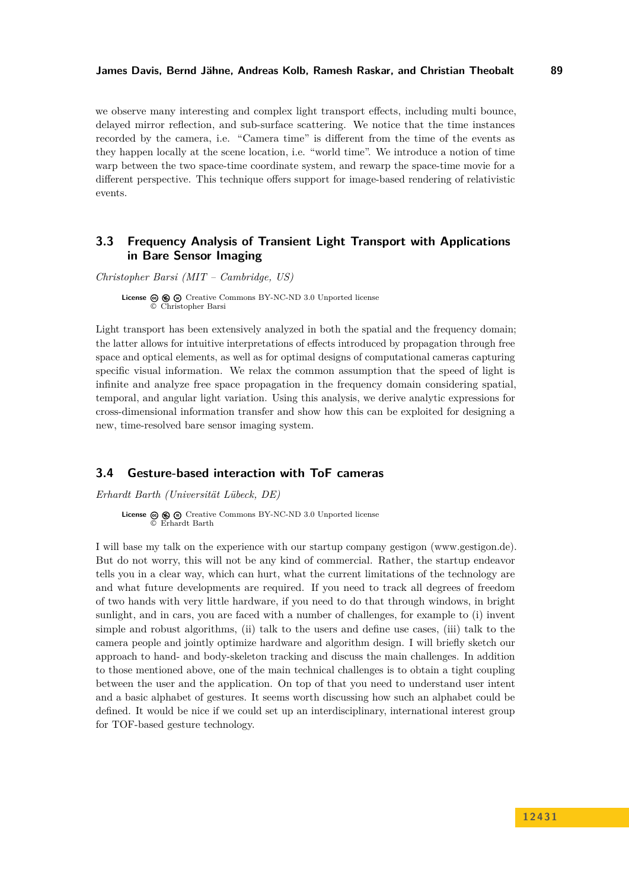we observe many interesting and complex light transport effects, including multi bounce, delayed mirror reflection, and sub-surface scattering. We notice that the time instances recorded by the camera, i.e. "Camera time" is different from the time of the events as they happen locally at the scene location, i.e. "world time". We introduce a notion of time warp between the two space-time coordinate system, and rewarp the space-time movie for a different perspective. This technique offers support for image-based rendering of relativistic events.

## <span id="page-10-0"></span>**3.3 Frequency Analysis of Transient Light Transport with Applications in Bare Sensor Imaging**

*Christopher Barsi (MIT – Cambridge, US)*

**License**  $\circledcirc$   $\circledcirc$  [Creative Commons BY-NC-ND 3.0 Unported](http://creativecommons.org/licenses/by-nc-nd/3.0/) license © [Christopher Barsi](#page-10-0)

Light transport has been extensively analyzed in both the spatial and the frequency domain; the latter allows for intuitive interpretations of effects introduced by propagation through free space and optical elements, as well as for optimal designs of computational cameras capturing specific visual information. We relax the common assumption that the speed of light is infinite and analyze free space propagation in the frequency domain considering spatial, temporal, and angular light variation. Using this analysis, we derive analytic expressions for cross-dimensional information transfer and show how this can be exploited for designing a new, time-resolved bare sensor imaging system.

#### <span id="page-10-1"></span>**3.4 Gesture-based interaction with ToF cameras**

*Erhardt Barth (Universität Lübeck, DE)*

**License**  $\circledcirc$   $\circledcirc$  [Creative Commons BY-NC-ND 3.0 Unported](http://creativecommons.org/licenses/by-nc-nd/3.0/) license © [Erhardt Barth](#page-10-1)

I will base my talk on the experience with our startup company gestigon (www.gestigon.de). But do not worry, this will not be any kind of commercial. Rather, the startup endeavor tells you in a clear way, which can hurt, what the current limitations of the technology are and what future developments are required. If you need to track all degrees of freedom of two hands with very little hardware, if you need to do that through windows, in bright sunlight, and in cars, you are faced with a number of challenges, for example to (i) invent simple and robust algorithms, (ii) talk to the users and define use cases, (iii) talk to the camera people and jointly optimize hardware and algorithm design. I will briefly sketch our approach to hand- and body-skeleton tracking and discuss the main challenges. In addition to those mentioned above, one of the main technical challenges is to obtain a tight coupling between the user and the application. On top of that you need to understand user intent and a basic alphabet of gestures. It seems worth discussing how such an alphabet could be defined. It would be nice if we could set up an interdisciplinary, international interest group for TOF-based gesture technology.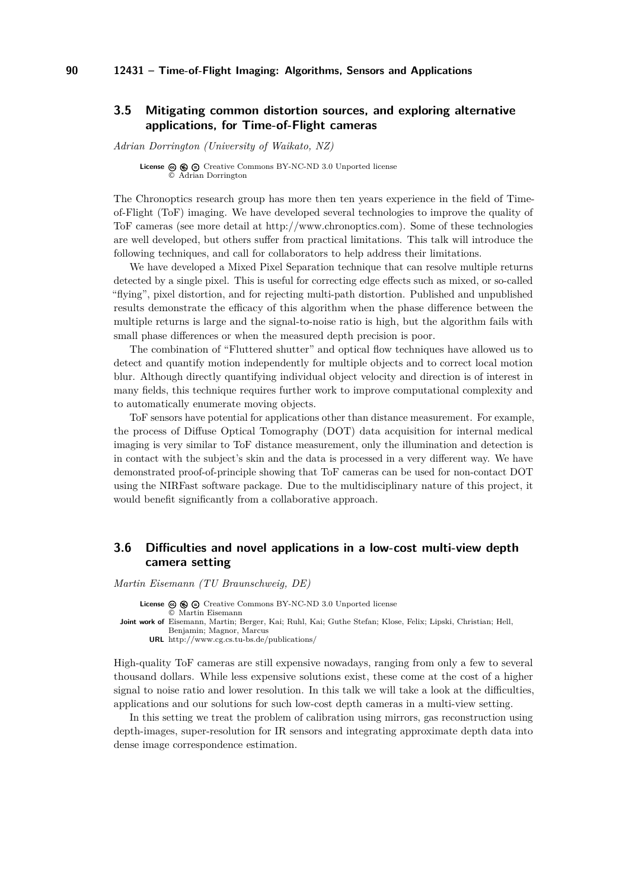## <span id="page-11-0"></span>**3.5 Mitigating common distortion sources, and exploring alternative applications, for Time-of-Flight cameras**

*Adrian Dorrington (University of Waikato, NZ)*

**License**  $\circledcirc$   $\circledcirc$   $\circlearrowright$  [Creative Commons BY-NC-ND 3.0 Unported](http://creativecommons.org/licenses/by-nc-nd/3.0/) license © [Adrian Dorrington](#page-11-0)

The Chronoptics research group has more then ten years experience in the field of Timeof-Flight (ToF) imaging. We have developed several technologies to improve the quality of ToF cameras (see more detail at [http://www.chronoptics.com\)](http://www.chronoptics.com). Some of these technologies are well developed, but others suffer from practical limitations. This talk will introduce the following techniques, and call for collaborators to help address their limitations.

We have developed a Mixed Pixel Separation technique that can resolve multiple returns detected by a single pixel. This is useful for correcting edge effects such as mixed, or so-called "flying", pixel distortion, and for rejecting multi-path distortion. Published and unpublished results demonstrate the efficacy of this algorithm when the phase difference between the multiple returns is large and the signal-to-noise ratio is high, but the algorithm fails with small phase differences or when the measured depth precision is poor.

The combination of "Fluttered shutter" and optical flow techniques have allowed us to detect and quantify motion independently for multiple objects and to correct local motion blur. Although directly quantifying individual object velocity and direction is of interest in many fields, this technique requires further work to improve computational complexity and to automatically enumerate moving objects.

ToF sensors have potential for applications other than distance measurement. For example, the process of Diffuse Optical Tomography (DOT) data acquisition for internal medical imaging is very similar to ToF distance measurement, only the illumination and detection is in contact with the subject's skin and the data is processed in a very different way. We have demonstrated proof-of-principle showing that ToF cameras can be used for non-contact DOT using the NIRFast software package. Due to the multidisciplinary nature of this project, it would benefit significantly from a collaborative approach.

## <span id="page-11-1"></span>**3.6 Difficulties and novel applications in a low-cost multi-view depth camera setting**

*Martin Eisemann (TU Braunschweig, DE)*

License  $\circledcirc \circledcirc \circ$  [Creative Commons BY-NC-ND 3.0 Unported](http://creativecommons.org/licenses/by-nc-nd/3.0/) license

© [Martin Eisemann](#page-11-1)

**Joint work of** Eisemann, Martin; Berger, Kai; Ruhl, Kai; Guthe Stefan; Klose, Felix; Lipski, Christian; Hell, Benjamin; Magnor, Marcus

**URL** <http://www.cg.cs.tu-bs.de/publications/>

High-quality ToF cameras are still expensive nowadays, ranging from only a few to several thousand dollars. While less expensive solutions exist, these come at the cost of a higher signal to noise ratio and lower resolution. In this talk we will take a look at the difficulties, applications and our solutions for such low-cost depth cameras in a multi-view setting.

In this setting we treat the problem of calibration using mirrors, gas reconstruction using depth-images, super-resolution for IR sensors and integrating approximate depth data into dense image correspondence estimation.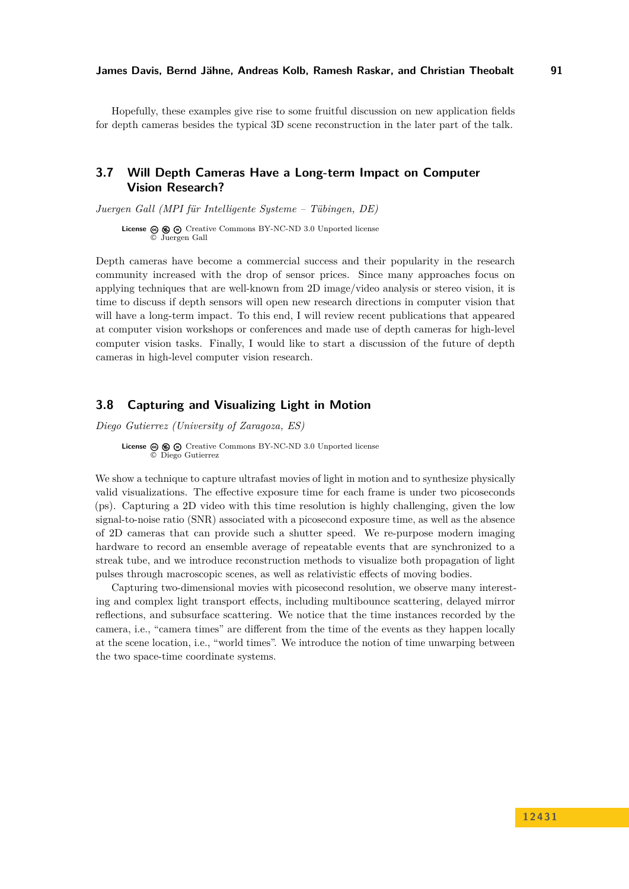Hopefully, these examples give rise to some fruitful discussion on new application fields for depth cameras besides the typical 3D scene reconstruction in the later part of the talk.

## <span id="page-12-0"></span>**3.7 Will Depth Cameras Have a Long-term Impact on Computer Vision Research?**

*Juergen Gall (MPI für Intelligente Systeme – Tübingen, DE)*

License  $\circledcirc \circledcirc \circ$  [Creative Commons BY-NC-ND 3.0 Unported](http://creativecommons.org/licenses/by-nc-nd/3.0/) license © [Juergen Gall](#page-12-0)

Depth cameras have become a commercial success and their popularity in the research community increased with the drop of sensor prices. Since many approaches focus on applying techniques that are well-known from 2D image/video analysis or stereo vision, it is time to discuss if depth sensors will open new research directions in computer vision that will have a long-term impact. To this end, I will review recent publications that appeared at computer vision workshops or conferences and made use of depth cameras for high-level computer vision tasks. Finally, I would like to start a discussion of the future of depth cameras in high-level computer vision research.

#### <span id="page-12-1"></span>**3.8 Capturing and Visualizing Light in Motion**

*Diego Gutierrez (University of Zaragoza, ES)*

**License**  $\odot$   $\odot$   $\odot$  [Creative Commons BY-NC-ND 3.0 Unported](http://creativecommons.org/licenses/by-nc-nd/3.0/) license © [Diego Gutierrez](#page-12-1)

We show a technique to capture ultrafast movies of light in motion and to synthesize physically valid visualizations. The effective exposure time for each frame is under two picoseconds (ps). Capturing a 2D video with this time resolution is highly challenging, given the low signal-to-noise ratio (SNR) associated with a picosecond exposure time, as well as the absence of 2D cameras that can provide such a shutter speed. We re-purpose modern imaging hardware to record an ensemble average of repeatable events that are synchronized to a streak tube, and we introduce reconstruction methods to visualize both propagation of light pulses through macroscopic scenes, as well as relativistic effects of moving bodies.

Capturing two-dimensional movies with picosecond resolution, we observe many interesting and complex light transport effects, including multibounce scattering, delayed mirror reflections, and subsurface scattering. We notice that the time instances recorded by the camera, i.e., "camera times" are different from the time of the events as they happen locally at the scene location, i.e., "world times". We introduce the notion of time unwarping between the two space-time coordinate systems.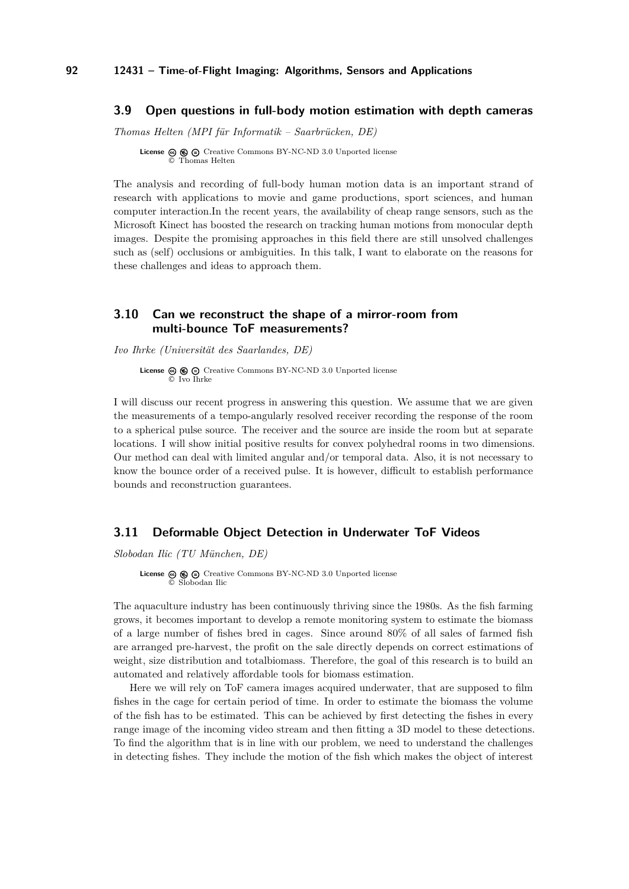### <span id="page-13-0"></span>**3.9 Open questions in full-body motion estimation with depth cameras**

*Thomas Helten (MPI für Informatik – Saarbrücken, DE)*

**License**  $\textcircled{e}$   $\textcircled{e}$   $\textcircled{f}$  [Creative Commons BY-NC-ND 3.0 Unported](http://creativecommons.org/licenses/by-nc-nd/3.0/) license © [Thomas Helten](#page-13-0)

The analysis and recording of full-body human motion data is an important strand of research with applications to movie and game productions, sport sciences, and human computer interaction.In the recent years, the availability of cheap range sensors, such as the Microsoft Kinect has boosted the research on tracking human motions from monocular depth images. Despite the promising approaches in this field there are still unsolved challenges such as (self) occlusions or ambiguities. In this talk, I want to elaborate on the reasons for these challenges and ideas to approach them.

## <span id="page-13-1"></span>**3.10 Can we reconstruct the shape of a mirror-room from multi-bounce ToF measurements?**

*Ivo Ihrke (Universität des Saarlandes, DE)*

**License**  $\circledcirc$   $\circledcirc$   $\circlearrowright$  [Creative Commons BY-NC-ND 3.0 Unported](http://creativecommons.org/licenses/by-nc-nd/3.0/) license © [Ivo Ihrke](#page-13-1)

I will discuss our recent progress in answering this question. We assume that we are given the measurements of a tempo-angularly resolved receiver recording the response of the room to a spherical pulse source. The receiver and the source are inside the room but at separate locations. I will show initial positive results for convex polyhedral rooms in two dimensions. Our method can deal with limited angular and/or temporal data. Also, it is not necessary to know the bounce order of a received pulse. It is however, difficult to establish performance bounds and reconstruction guarantees.

### <span id="page-13-2"></span>**3.11 Deformable Object Detection in Underwater ToF Videos**

*Slobodan Ilic (TU München, DE)*

**License**  $\circledast$   $\circledast$   $\circledast$  [Creative Commons BY-NC-ND 3.0 Unported](http://creativecommons.org/licenses/by-nc-nd/3.0/) license © [Slobodan Ilic](#page-13-2)

The aquaculture industry has been continuously thriving since the 1980s. As the fish farming grows, it becomes important to develop a remote monitoring system to estimate the biomass of a large number of fishes bred in cages. Since around 80% of all sales of farmed fish are arranged pre-harvest, the profit on the sale directly depends on correct estimations of weight, size distribution and totalbiomass. Therefore, the goal of this research is to build an automated and relatively affordable tools for biomass estimation.

Here we will rely on ToF camera images acquired underwater, that are supposed to film fishes in the cage for certain period of time. In order to estimate the biomass the volume of the fish has to be estimated. This can be achieved by first detecting the fishes in every range image of the incoming video stream and then fitting a 3D model to these detections. To find the algorithm that is in line with our problem, we need to understand the challenges in detecting fishes. They include the motion of the fish which makes the object of interest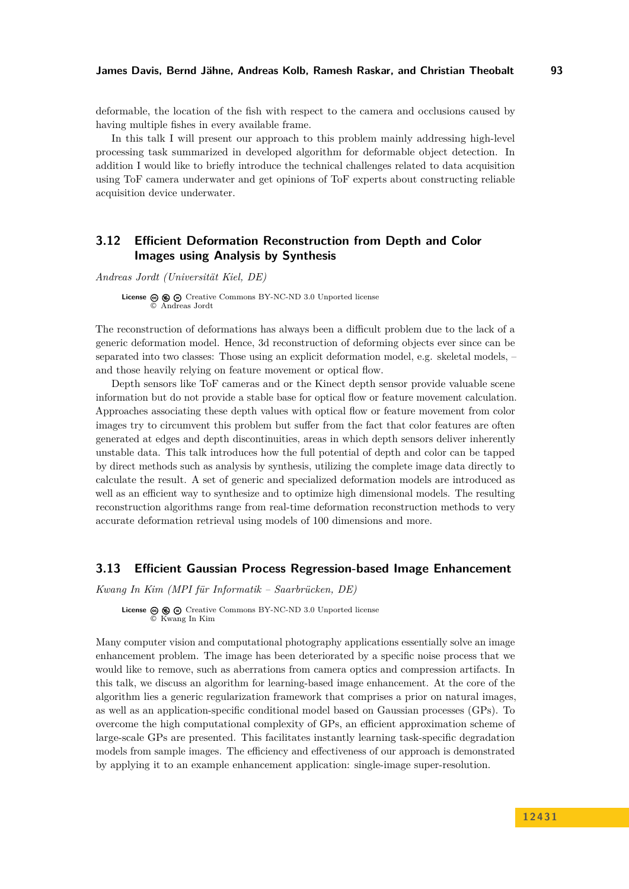deformable, the location of the fish with respect to the camera and occlusions caused by having multiple fishes in every available frame.

In this talk I will present our approach to this problem mainly addressing high-level processing task summarized in developed algorithm for deformable object detection. In addition I would like to briefly introduce the technical challenges related to data acquisition using ToF camera underwater and get opinions of ToF experts about constructing reliable acquisition device underwater.

## <span id="page-14-0"></span>**3.12 Efficient Deformation Reconstruction from Depth and Color Images using Analysis by Synthesis**

*Andreas Jordt (Universität Kiel, DE)*

**License**  $\textcircled{e}$   $\textcircled{e}$  [Creative Commons BY-NC-ND 3.0 Unported](http://creativecommons.org/licenses/by-nc-nd/3.0/) license © [Andreas Jordt](#page-14-0)

The reconstruction of deformations has always been a difficult problem due to the lack of a generic deformation model. Hence, 3d reconstruction of deforming objects ever since can be separated into two classes: Those using an explicit deformation model, e.g. skeletal models, – and those heavily relying on feature movement or optical flow.

Depth sensors like ToF cameras and or the Kinect depth sensor provide valuable scene information but do not provide a stable base for optical flow or feature movement calculation. Approaches associating these depth values with optical flow or feature movement from color images try to circumvent this problem but suffer from the fact that color features are often generated at edges and depth discontinuities, areas in which depth sensors deliver inherently unstable data. This talk introduces how the full potential of depth and color can be tapped by direct methods such as analysis by synthesis, utilizing the complete image data directly to calculate the result. A set of generic and specialized deformation models are introduced as well as an efficient way to synthesize and to optimize high dimensional models. The resulting reconstruction algorithms range from real-time deformation reconstruction methods to very accurate deformation retrieval using models of 100 dimensions and more.

#### <span id="page-14-1"></span>**3.13 Efficient Gaussian Process Regression-based Image Enhancement**

*Kwang In Kim (MPI für Informatik – Saarbrücken, DE)*

**License**  $\circledcirc$   $\circledcirc$   $\circlearrowright$  [Creative Commons BY-NC-ND 3.0 Unported](http://creativecommons.org/licenses/by-nc-nd/3.0/) license © [Kwang In Kim](#page-14-1)

Many computer vision and computational photography applications essentially solve an image enhancement problem. The image has been deteriorated by a specific noise process that we would like to remove, such as aberrations from camera optics and compression artifacts. In this talk, we discuss an algorithm for learning-based image enhancement. At the core of the algorithm lies a generic regularization framework that comprises a prior on natural images, as well as an application-specific conditional model based on Gaussian processes (GPs). To overcome the high computational complexity of GPs, an efficient approximation scheme of large-scale GPs are presented. This facilitates instantly learning task-specific degradation models from sample images. The efficiency and effectiveness of our approach is demonstrated by applying it to an example enhancement application: single-image super-resolution.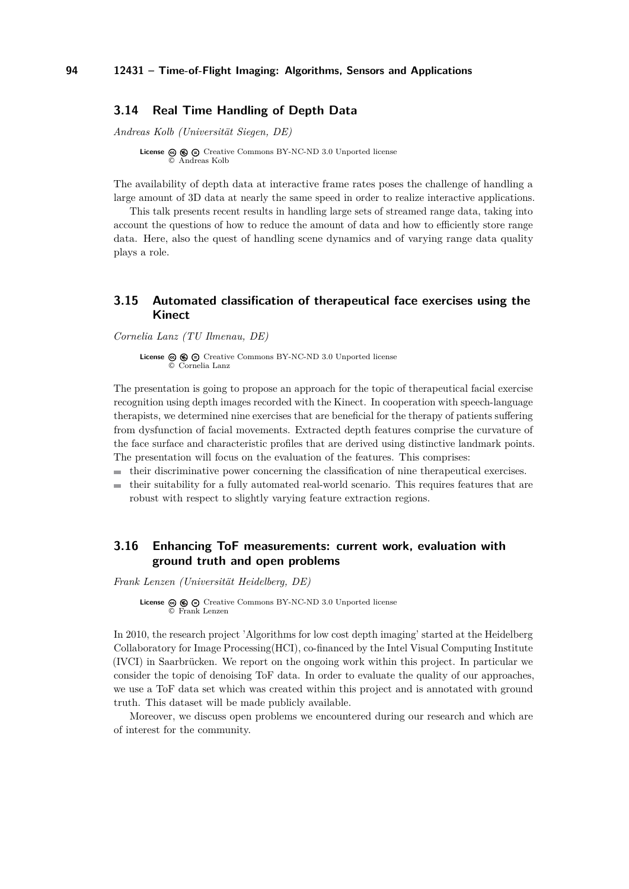### <span id="page-15-0"></span>**3.14 Real Time Handling of Depth Data**

*Andreas Kolb (Universität Siegen, DE)*

**License**  $\textcircled{e}$   $\textcircled{e}$   $\textcircled{f}$  [Creative Commons BY-NC-ND 3.0 Unported](http://creativecommons.org/licenses/by-nc-nd/3.0/) license © [Andreas Kolb](#page-15-0)

The availability of depth data at interactive frame rates poses the challenge of handling a large amount of 3D data at nearly the same speed in order to realize interactive applications.

This talk presents recent results in handling large sets of streamed range data, taking into account the questions of how to reduce the amount of data and how to efficiently store range data. Here, also the quest of handling scene dynamics and of varying range data quality plays a role.

## <span id="page-15-1"></span>**3.15 Automated classification of therapeutical face exercises using the Kinect**

*Cornelia Lanz (TU Ilmenau, DE)*

**License**  $\circledcirc$   $\circledcirc$   $\circlearrowright$  [Creative Commons BY-NC-ND 3.0 Unported](http://creativecommons.org/licenses/by-nc-nd/3.0/) license © [Cornelia Lanz](#page-15-1)

The presentation is going to propose an approach for the topic of therapeutical facial exercise recognition using depth images recorded with the Kinect. In cooperation with speech-language therapists, we determined nine exercises that are beneficial for the therapy of patients suffering from dysfunction of facial movements. Extracted depth features comprise the curvature of the face surface and characteristic profiles that are derived using distinctive landmark points. The presentation will focus on the evaluation of the features. This comprises:

- $\blacksquare$  their discriminative power concerning the classification of nine therapeutical exercises.
- their suitability for a fully automated real-world scenario. This requires features that are robust with respect to slightly varying feature extraction regions.

## <span id="page-15-2"></span>**3.16 Enhancing ToF measurements: current work, evaluation with ground truth and open problems**

*Frank Lenzen (Universität Heidelberg, DE)*

**License**  $\textcircled{e}$   $\textcircled{e}$   $\textcircled{e}$  [Creative Commons BY-NC-ND 3.0 Unported](http://creativecommons.org/licenses/by-nc-nd/3.0/) license © [Frank Lenzen](#page-15-2)

In 2010, the research project 'Algorithms for low cost depth imaging' started at the Heidelberg Collaboratory for Image Processing(HCI), co-financed by the Intel Visual Computing Institute (IVCI) in Saarbrücken. We report on the ongoing work within this project. In particular we consider the topic of denoising ToF data. In order to evaluate the quality of our approaches, we use a ToF data set which was created within this project and is annotated with ground truth. This dataset will be made publicly available.

Moreover, we discuss open problems we encountered during our research and which are of interest for the community.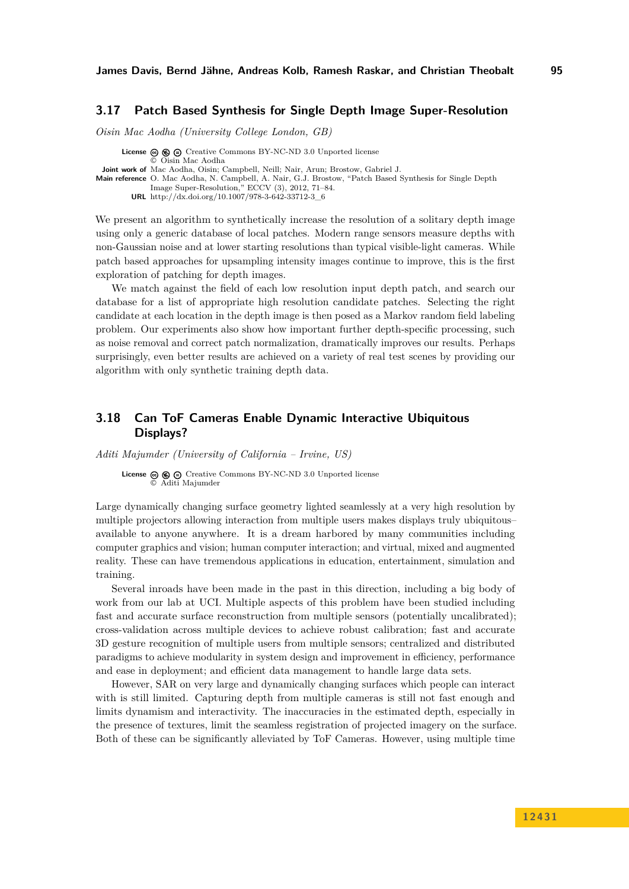## <span id="page-16-0"></span>**3.17 Patch Based Synthesis for Single Depth Image Super-Resolution**

*Oisin Mac Aodha (University College London, GB)*

**License**  $\textcircled{e}$   $\textcircled{e}$   $\textcircled{e}$  [Creative Commons BY-NC-ND 3.0 Unported](http://creativecommons.org/licenses/by-nc-nd/3.0/) license © [Oisin Mac Aodha](#page-16-0) **Joint work of** Mac Aodha, Oisin; Campbell, Neill; Nair, Arun; Brostow, Gabriel J. **Main reference** [O. Mac Aodha, N. Campbell, A. Nair, G.J. Brostow, "Patch Based Synthesis for Single Depth](http://dx.doi.org/10.1007/978-3-642-33712-3_6) [Image Super-Resolution," ECCV \(3\), 2012, 71–84.](http://dx.doi.org/10.1007/978-3-642-33712-3_6) **URL** [http://dx.doi.org/10.1007/978-3-642-33712-3\\_6](http://dx.doi.org/10.1007/978-3-642-33712-3_6)

We present an algorithm to synthetically increase the resolution of a solitary depth image using only a generic database of local patches. Modern range sensors measure depths with non-Gaussian noise and at lower starting resolutions than typical visible-light cameras. While patch based approaches for upsampling intensity images continue to improve, this is the first exploration of patching for depth images.

We match against the field of each low resolution input depth patch, and search our database for a list of appropriate high resolution candidate patches. Selecting the right candidate at each location in the depth image is then posed as a Markov random field labeling problem. Our experiments also show how important further depth-specific processing, such as noise removal and correct patch normalization, dramatically improves our results. Perhaps surprisingly, even better results are achieved on a variety of real test scenes by providing our algorithm with only synthetic training depth data.

## <span id="page-16-1"></span>**3.18 Can ToF Cameras Enable Dynamic Interactive Ubiquitous Displays?**

*Aditi Majumder (University of California – Irvine, US)*

**License**  $\textcircled{e}$   $\textcircled{e}$   $\textcircled{e}$  [Creative Commons BY-NC-ND 3.0 Unported](http://creativecommons.org/licenses/by-nc-nd/3.0/) license © [Aditi Majumder](#page-16-1)

Large dynamically changing surface geometry lighted seamlessly at a very high resolution by multiple projectors allowing interaction from multiple users makes displays truly ubiquitous– available to anyone anywhere. It is a dream harbored by many communities including computer graphics and vision; human computer interaction; and virtual, mixed and augmented reality. These can have tremendous applications in education, entertainment, simulation and training.

Several inroads have been made in the past in this direction, including a big body of work from our lab at UCI. Multiple aspects of this problem have been studied including fast and accurate surface reconstruction from multiple sensors (potentially uncalibrated); cross-validation across multiple devices to achieve robust calibration; fast and accurate 3D gesture recognition of multiple users from multiple sensors; centralized and distributed paradigms to achieve modularity in system design and improvement in efficiency, performance and ease in deployment; and efficient data management to handle large data sets.

However, SAR on very large and dynamically changing surfaces which people can interact with is still limited. Capturing depth from multiple cameras is still not fast enough and limits dynamism and interactivity. The inaccuracies in the estimated depth, especially in the presence of textures, limit the seamless registration of projected imagery on the surface. Both of these can be significantly alleviated by ToF Cameras. However, using multiple time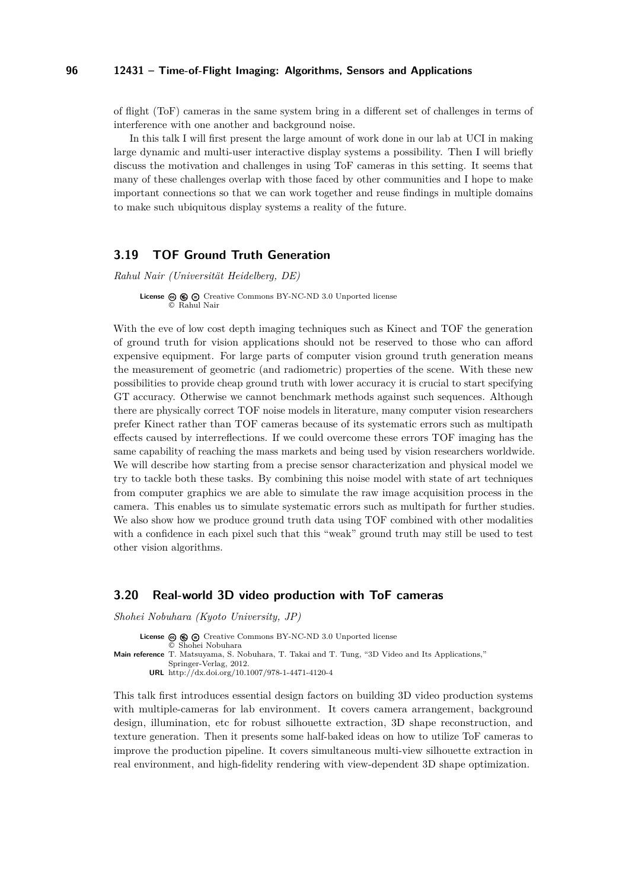of flight (ToF) cameras in the same system bring in a different set of challenges in terms of interference with one another and background noise.

In this talk I will first present the large amount of work done in our lab at UCI in making large dynamic and multi-user interactive display systems a possibility. Then I will briefly discuss the motivation and challenges in using ToF cameras in this setting. It seems that many of these challenges overlap with those faced by other communities and I hope to make important connections so that we can work together and reuse findings in multiple domains to make such ubiquitous display systems a reality of the future.

#### <span id="page-17-0"></span>**3.19 TOF Ground Truth Generation**

*Rahul Nair (Universität Heidelberg, DE)*

License  $\textcircled{e}$   $\textcircled{e}$   $\textcircled{e}$  [Creative Commons BY-NC-ND 3.0 Unported](http://creativecommons.org/licenses/by-nc-nd/3.0/) license © [Rahul Nair](#page-17-0)

With the eve of low cost depth imaging techniques such as Kinect and TOF the generation of ground truth for vision applications should not be reserved to those who can afford expensive equipment. For large parts of computer vision ground truth generation means the measurement of geometric (and radiometric) properties of the scene. With these new possibilities to provide cheap ground truth with lower accuracy it is crucial to start specifying GT accuracy. Otherwise we cannot benchmark methods against such sequences. Although there are physically correct TOF noise models in literature, many computer vision researchers prefer Kinect rather than TOF cameras because of its systematic errors such as multipath effects caused by interreflections. If we could overcome these errors TOF imaging has the same capability of reaching the mass markets and being used by vision researchers worldwide. We will describe how starting from a precise sensor characterization and physical model we try to tackle both these tasks. By combining this noise model with state of art techniques from computer graphics we are able to simulate the raw image acquisition process in the camera. This enables us to simulate systematic errors such as multipath for further studies. We also show how we produce ground truth data using TOF combined with other modalities with a confidence in each pixel such that this "weak" ground truth may still be used to test other vision algorithms.

#### <span id="page-17-1"></span>**3.20 Real-world 3D video production with ToF cameras**

*Shohei Nobuhara (Kyoto University, JP)*

License  $\circledcirc$   $\circledcirc$   $\circledcirc$  [Creative Commons BY-NC-ND 3.0 Unported](http://creativecommons.org/licenses/by-nc-nd/3.0/) license © [Shohei Nobuhara](#page-17-1) **Main reference** [T. Matsuyama, S. Nobuhara, T. Takai and T. Tung, "3D Video and Its Applications,"](http://dx.doi.org/10.1007/978-1-4471-4120-4) [Springer-Verlag, 2012.](http://dx.doi.org/10.1007/978-1-4471-4120-4) **URL** <http://dx.doi.org/10.1007/978-1-4471-4120-4>

This talk first introduces essential design factors on building 3D video production systems with multiple-cameras for lab environment. It covers camera arrangement, background design, illumination, etc for robust silhouette extraction, 3D shape reconstruction, and texture generation. Then it presents some half-baked ideas on how to utilize ToF cameras to improve the production pipeline. It covers simultaneous multi-view silhouette extraction in real environment, and high-fidelity rendering with view-dependent 3D shape optimization.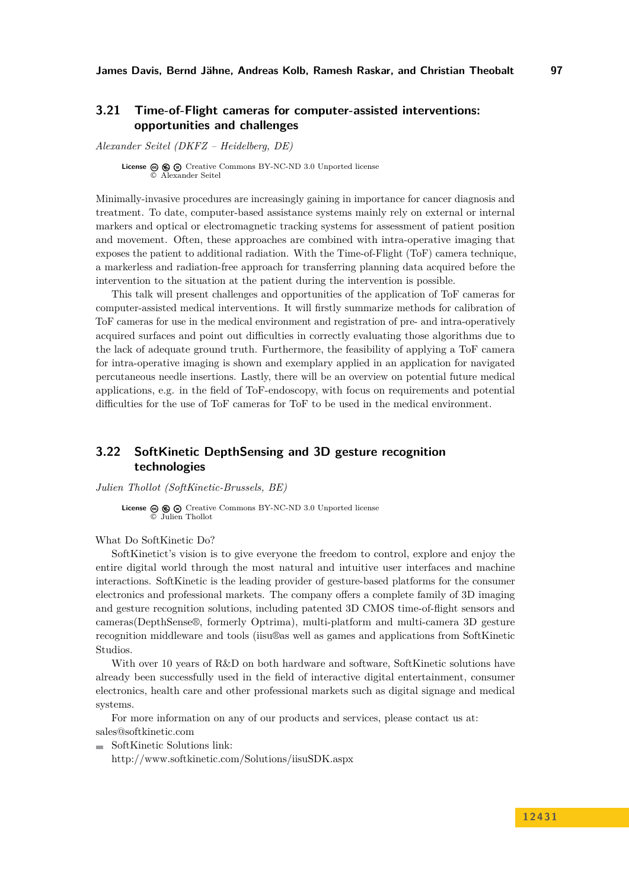## <span id="page-18-0"></span>**3.21 Time-of-Flight cameras for computer-assisted interventions: opportunities and challenges**

*Alexander Seitel (DKFZ – Heidelberg, DE)*

**License**  $\circledcirc$   $\circledcirc$   $\circlearrowright$  [Creative Commons BY-NC-ND 3.0 Unported](http://creativecommons.org/licenses/by-nc-nd/3.0/) license © [Alexander Seitel](#page-18-0)

Minimally-invasive procedures are increasingly gaining in importance for cancer diagnosis and treatment. To date, computer-based assistance systems mainly rely on external or internal markers and optical or electromagnetic tracking systems for assessment of patient position and movement. Often, these approaches are combined with intra-operative imaging that exposes the patient to additional radiation. With the Time-of-Flight (ToF) camera technique, a markerless and radiation-free approach for transferring planning data acquired before the intervention to the situation at the patient during the intervention is possible.

This talk will present challenges and opportunities of the application of ToF cameras for computer-assisted medical interventions. It will firstly summarize methods for calibration of ToF cameras for use in the medical environment and registration of pre- and intra-operatively acquired surfaces and point out difficulties in correctly evaluating those algorithms due to the lack of adequate ground truth. Furthermore, the feasibility of applying a ToF camera for intra-operative imaging is shown and exemplary applied in an application for navigated percutaneous needle insertions. Lastly, there will be an overview on potential future medical applications, e.g. in the field of ToF-endoscopy, with focus on requirements and potential difficulties for the use of ToF cameras for ToF to be used in the medical environment.

## <span id="page-18-1"></span>**3.22 SoftKinetic DepthSensing and 3D gesture recognition technologies**

*Julien Thollot (SoftKinetic-Brussels, BE)*

**License**  $\textcircled{e}$   $\textcircled{e}$   $\textcircled{e}$  [Creative Commons BY-NC-ND 3.0 Unported](http://creativecommons.org/licenses/by-nc-nd/3.0/) license © [Julien Thollot](#page-18-1)

What Do SoftKinetic Do?

SoftKinetict's vision is to give everyone the freedom to control, explore and enjoy the entire digital world through the most natural and intuitive user interfaces and machine interactions. SoftKinetic is the leading provider of gesture-based platforms for the consumer electronics and professional markets. The company offers a complete family of 3D imaging and gesture recognition solutions, including patented 3D CMOS time-of-flight sensors and cameras(DepthSense®, formerly Optrima), multi-platform and multi-camera 3D gesture recognition middleware and tools (iisu®as well as games and applications from SoftKinetic Studios.

With over 10 years of R&D on both hardware and software, SoftKinetic solutions have already been successfully used in the field of interactive digital entertainment, consumer electronics, health care and other professional markets such as digital signage and medical systems.

For more information on any of our products and services, please contact us at: <sales@softkinetic.com>

SoftKinetic Solutions link:

<http://www.softkinetic.com/Solutions/iisuSDK.aspx>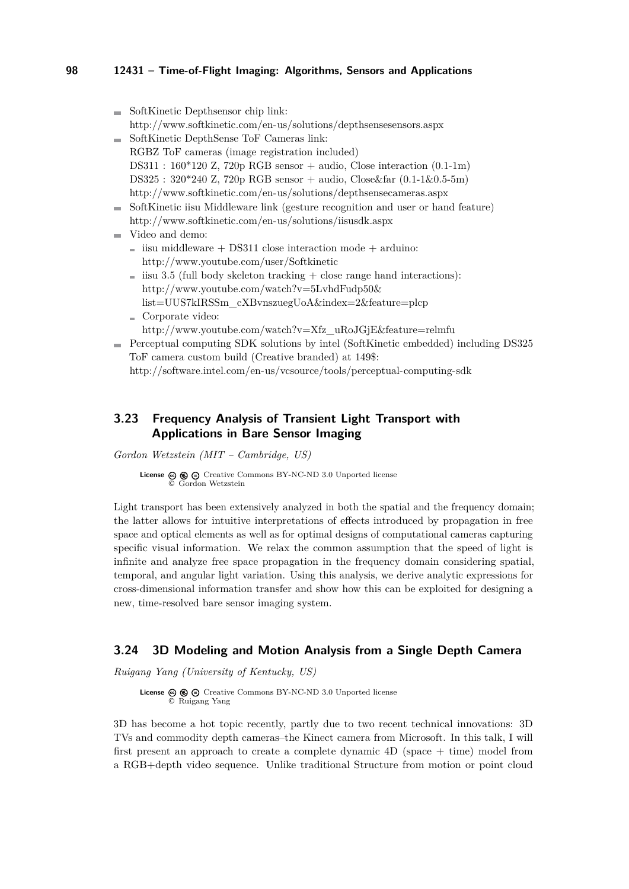|                | SoftKinetic Depthsensor chip link:                                                 |
|----------------|------------------------------------------------------------------------------------|
|                | http://www.softkinetic.com/en-us/solutions/depthsensesensors.aspx                  |
|                | SoftKinetic DepthSense ToF Cameras link:                                           |
|                | RGBZ ToF cameras (image registration included)                                     |
|                | DS311 : $160*120$ Z, 720p RGB sensor + audio, Close interaction (0.1-1m)           |
|                | DS325 : $320*240$ Z, $720p$ RGB sensor + audio, Close & far $(0.1-1\&0.5-5m)$      |
|                | http://www.softkinetic.com/en-us/solutions/depthsensecameras.aspx                  |
| <b>College</b> | SoftKinetic iisu Middleware link (gesture recognition and user or hand feature)    |
|                | http://www.softkinetic.com/en-us/solutions/iisusdk.aspx                            |
|                | Video and demo:                                                                    |
|                | isu middleware $+$ DS311 close interaction mode $+$ arduino:                       |
|                | http://www.youtube.com/user/Softkinetic                                            |
|                | $\equiv$ iisu 3.5 (full body skeleton tracking $+$ close range hand interactions): |
|                | http://www.youtube.com/watch?v=5LvhdFudp50 $\&$                                    |
|                | list=UUS7kIRSSm_cXBvnszuegUoA&index=2&feature=plcp                                 |
|                |                                                                                    |

- Corporate video: [http://www.youtube.com/watch?v=Xfz\\_uRoJGjE&feature=relmfu](http://www.youtube.com/watch?v=Xfz_uRoJGjE&feature=relmfu)
- Perceptual computing SDK solutions by intel (SoftKinetic embedded) including DS325 ToF camera custom build (Creative branded) at 149\$: <http://software.intel.com/en-us/vcsource/tools/perceptual-computing-sdk>

## <span id="page-19-0"></span>**3.23 Frequency Analysis of Transient Light Transport with Applications in Bare Sensor Imaging**

*Gordon Wetzstein (MIT – Cambridge, US)*

**License**  $\odot$   $\odot$   $\odot$  [Creative Commons BY-NC-ND 3.0 Unported](http://creativecommons.org/licenses/by-nc-nd/3.0/) license © [Gordon Wetzstein](#page-19-0)

Light transport has been extensively analyzed in both the spatial and the frequency domain; the latter allows for intuitive interpretations of effects introduced by propagation in free space and optical elements as well as for optimal designs of computational cameras capturing specific visual information. We relax the common assumption that the speed of light is infinite and analyze free space propagation in the frequency domain considering spatial, temporal, and angular light variation. Using this analysis, we derive analytic expressions for cross-dimensional information transfer and show how this can be exploited for designing a new, time-resolved bare sensor imaging system.

### <span id="page-19-1"></span>**3.24 3D Modeling and Motion Analysis from a Single Depth Camera**

*Ruigang Yang (University of Kentucky, US)*

**License**  $\textcircled{\textcircled{\textcircled{\textcirc}}}$   $\textcircled{\textcircled{\textcirc}}$  [Creative Commons BY-NC-ND 3.0 Unported](http://creativecommons.org/licenses/by-nc-nd/3.0/) license © [Ruigang Yang](#page-19-1)

3D has become a hot topic recently, partly due to two recent technical innovations: 3D TVs and commodity depth cameras–the Kinect camera from Microsoft. In this talk, I will first present an approach to create a complete dynamic 4D (space + time) model from a RGB+depth video sequence. Unlike traditional Structure from motion or point cloud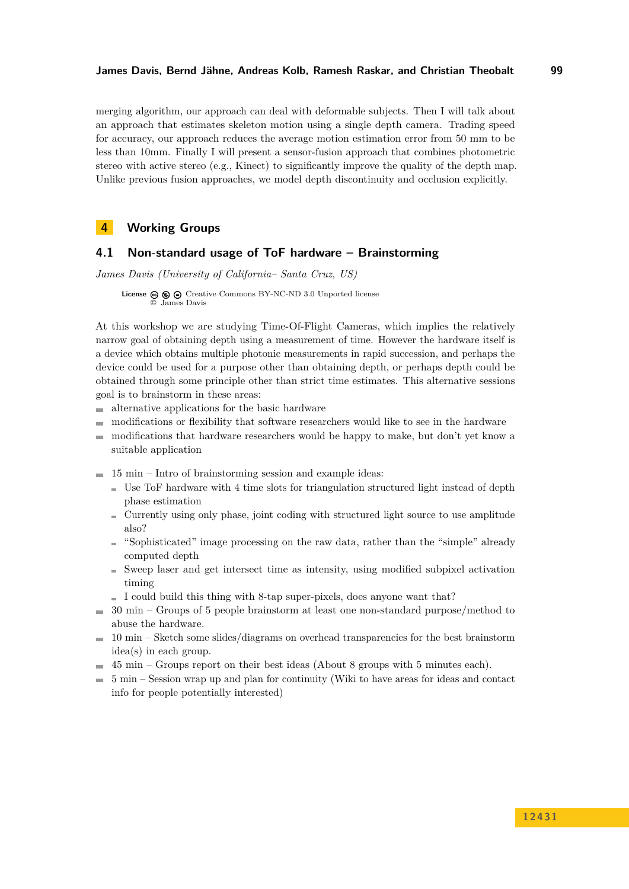merging algorithm, our approach can deal with deformable subjects. Then I will talk about an approach that estimates skeleton motion using a single depth camera. Trading speed for accuracy, our approach reduces the average motion estimation error from 50 mm to be less than 10mm. Finally I will present a sensor-fusion approach that combines photometric stereo with active stereo (e.g., Kinect) to significantly improve the quality of the depth map. Unlike previous fusion approaches, we model depth discontinuity and occlusion explicitly.

## <span id="page-20-0"></span>**4 Working Groups**

## <span id="page-20-1"></span>**4.1 Non-standard usage of ToF hardware – Brainstorming**

*James Davis (University of California– Santa Cruz, US)*

**License**  $\circledcirc$   $\circledcirc$  [Creative Commons BY-NC-ND 3.0 Unported](http://creativecommons.org/licenses/by-nc-nd/3.0/) license © [James Davis](#page-20-1)

At this workshop we are studying Time-Of-Flight Cameras, which implies the relatively narrow goal of obtaining depth using a measurement of time. However the hardware itself is a device which obtains multiple photonic measurements in rapid succession, and perhaps the device could be used for a purpose other than obtaining depth, or perhaps depth could be obtained through some principle other than strict time estimates. This alternative sessions goal is to brainstorm in these areas:

- alternative applications for the basic hardware  $\sim$
- modifications or flexibility that software researchers would like to see in the hardware  $\sim$
- modifications that hardware researchers would be happy to make, but don't yet know a  $\rightarrow$ suitable application
- $\equiv$  15 min Intro of brainstorming session and example ideas:
	- Use ToF hardware with 4 time slots for triangulation structured light instead of depth phase estimation
	- Currently using only phase, joint coding with structured light source to use amplitude also?
	- $\blacksquare$  "Sophisticated" image processing on the raw data, rather than the "simple" already computed depth
	- Sweep laser and get intersect time as intensity, using modified subpixel activation timing
	- I could build this thing with 8-tap super-pixels, does anyone want that?
- $\equiv$  30 min Groups of 5 people brainstorm at least one non-standard purpose/method to abuse the hardware.
- $\equiv$  10 min Sketch some slides/diagrams on overhead transparencies for the best brainstorm idea(s) in each group.
- 45 min Groups report on their best ideas (About 8 groups with 5 minutes each).  $\blacksquare$
- $\equiv$  5 min Session wrap up and plan for continuity (Wiki to have areas for ideas and contact info for people potentially interested)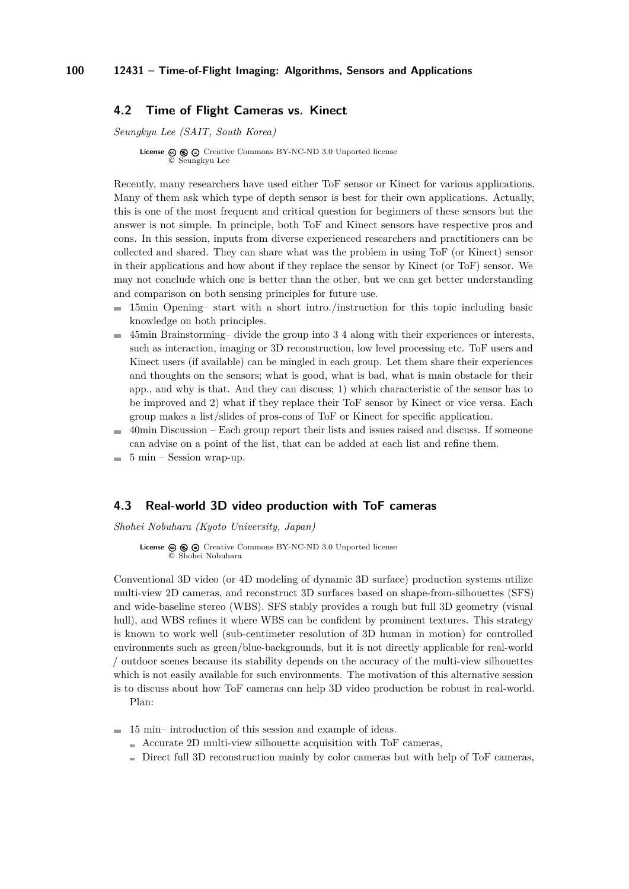### <span id="page-21-0"></span>**4.2 Time of Flight Cameras vs. Kinect**

*Seungkyu Lee (SAIT, South Korea)*

**License**  $\textcircled{e}$   $\textcircled{e}$   $\textcircled{f}$  [Creative Commons BY-NC-ND 3.0 Unported](http://creativecommons.org/licenses/by-nc-nd/3.0/) license © [Seungkyu Lee](#page-21-0)

Recently, many researchers have used either ToF sensor or Kinect for various applications. Many of them ask which type of depth sensor is best for their own applications. Actually, this is one of the most frequent and critical question for beginners of these sensors but the answer is not simple. In principle, both ToF and Kinect sensors have respective pros and cons. In this session, inputs from diverse experienced researchers and practitioners can be collected and shared. They can share what was the problem in using ToF (or Kinect) sensor in their applications and how about if they replace the sensor by Kinect (or ToF) sensor. We may not conclude which one is better than the other, but we can get better understanding and comparison on both sensing principles for future use.

- 15min Opening– start with a short intro./instruction for this topic including basic  $\blacksquare$ knowledge on both principles.
- 45min Brainstorming– divide the group into 3 4 along with their experiences or interests,  $\sim$ such as interaction, imaging or 3D reconstruction, low level processing etc. ToF users and Kinect users (if available) can be mingled in each group. Let them share their experiences and thoughts on the sensors; what is good, what is bad, what is main obstacle for their app., and why is that. And they can discuss; 1) which characteristic of the sensor has to be improved and 2) what if they replace their ToF sensor by Kinect or vice versa. Each group makes a list/slides of pros-cons of ToF or Kinect for specific application.
- 40min Discussion Each group report their lists and issues raised and discuss. If someone m. can advise on a point of the list, that can be added at each list and refine them.
- 5 min Session wrap-up.

### <span id="page-21-1"></span>**4.3 Real-world 3D video production with ToF cameras**

*Shohei Nobuhara (Kyoto University, Japan)*

License  $\circledcirc \circledcirc \circ$  [Creative Commons BY-NC-ND 3.0 Unported](http://creativecommons.org/licenses/by-nc-nd/3.0/) license © [Shohei Nobuhara](#page-21-1)

Conventional 3D video (or 4D modeling of dynamic 3D surface) production systems utilize multi-view 2D cameras, and reconstruct 3D surfaces based on shape-from-silhouettes (SFS) and wide-baseline stereo (WBS). SFS stably provides a rough but full 3D geometry (visual hull), and WBS refines it where WBS can be confident by prominent textures. This strategy is known to work well (sub-centimeter resolution of 3D human in motion) for controlled environments such as green/blue-backgrounds, but it is not directly applicable for real-world / outdoor scenes because its stability depends on the accuracy of the multi-view silhouettes which is not easily available for such environments. The motivation of this alternative session is to discuss about how ToF cameras can help 3D video production be robust in real-world. Plan:

 $\blacksquare$  15 min– introduction of this session and example of ideas.

- $\blacksquare$  Accurate 2D multi-view silhouette acquisition with ToF cameras,
- $\blacksquare$  Direct full 3D reconstruction mainly by color cameras but with help of ToF cameras,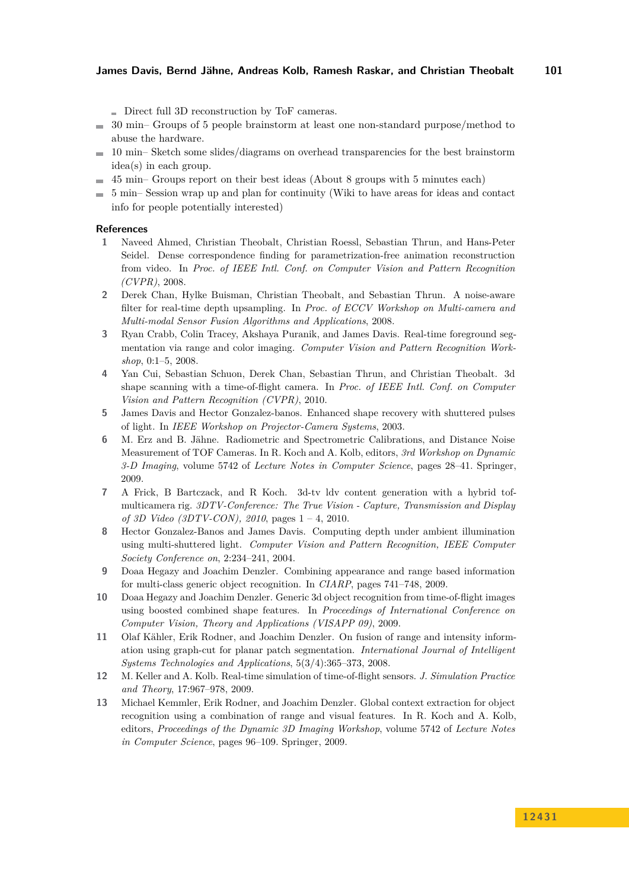Direct full 3D reconstruction by ToF cameras.

- $\equiv$  30 min– Groups of 5 people brainstorm at least one non-standard purpose/method to abuse the hardware.
- $\blacksquare$  10 min– Sketch some slides/diagrams on overhead transparencies for the best brainstorm idea(s) in each group.
- 45 min– Groups report on their best ideas (About 8 groups with 5 minutes each)
- 5 min– Session wrap up and plan for continuity (Wiki to have areas for ideas and contact  $\rightarrow$ info for people potentially interested)

#### **References**

- **1** Naveed Ahmed, Christian Theobalt, Christian Roessl, Sebastian Thrun, and Hans-Peter Seidel. Dense correspondence finding for parametrization-free animation reconstruction from video. In *Proc. of IEEE Intl. Conf. on Computer Vision and Pattern Recognition (CVPR)*, 2008.
- <span id="page-22-2"></span>**2** Derek Chan, Hylke Buisman, Christian Theobalt, and Sebastian Thrun. A noise-aware filter for real-time depth upsampling. In *Proc. of ECCV Workshop on Multi-camera and Multi-modal Sensor Fusion Algorithms and Applications*, 2008.
- **3** Ryan Crabb, Colin Tracey, Akshaya Puranik, and James Davis. Real-time foreground segmentation via range and color imaging. *Computer Vision and Pattern Recognition Workshop*, 0:1–5, 2008.
- **4** Yan Cui, Sebastian Schuon, Derek Chan, Sebastian Thrun, and Christian Theobalt. 3d shape scanning with a time-of-flight camera. In *Proc. of IEEE Intl. Conf. on Computer Vision and Pattern Recognition (CVPR)*, 2010.
- **5** James Davis and Hector Gonzalez-banos. Enhanced shape recovery with shuttered pulses of light. In *IEEE Workshop on Projector-Camera Systems*, 2003.
- <span id="page-22-0"></span>**6** M. Erz and B. Jähne. Radiometric and Spectrometric Calibrations, and Distance Noise Measurement of TOF Cameras. In R. Koch and A. Kolb, editors, *3rd Workshop on Dynamic 3-D Imaging*, volume 5742 of *Lecture Notes in Computer Science*, pages 28–41. Springer, 2009.
- <span id="page-22-6"></span>**7** A Frick, B Bartczack, and R Koch. 3d-tv ldv content generation with a hybrid tofmulticamera rig. *3DTV-Conference: The True Vision - Capture, Transmission and Display of 3D Video (3DTV-CON), 2010*, pages 1 – 4, 2010.
- **8** Hector Gonzalez-Banos and James Davis. Computing depth under ambient illumination using multi-shuttered light. *Computer Vision and Pattern Recognition, IEEE Computer Society Conference on*, 2:234–241, 2004.
- **9** Doaa Hegazy and Joachim Denzler. Combining appearance and range based information for multi-class generic object recognition. In *CIARP*, pages 741–748, 2009.
- <span id="page-22-3"></span>**10** Doaa Hegazy and Joachim Denzler. Generic 3d object recognition from time-of-flight images using boosted combined shape features. In *Proceedings of International Conference on Computer Vision, Theory and Applications (VISAPP 09)*, 2009.
- <span id="page-22-5"></span>**11** Olaf Kähler, Erik Rodner, and Joachim Denzler. On fusion of range and intensity information using graph-cut for planar patch segmentation. *International Journal of Intelligent Systems Technologies and Applications*, 5(3/4):365–373, 2008.
- <span id="page-22-1"></span>**12** M. Keller and A. Kolb. Real-time simulation of time-of-flight sensors. *J. Simulation Practice and Theory*, 17:967–978, 2009.
- <span id="page-22-4"></span>**13** Michael Kemmler, Erik Rodner, and Joachim Denzler. Global context extraction for object recognition using a combination of range and visual features. In R. Koch and A. Kolb, editors, *Proceedings of the Dynamic 3D Imaging Workshop*, volume 5742 of *Lecture Notes in Computer Science*, pages 96–109. Springer, 2009.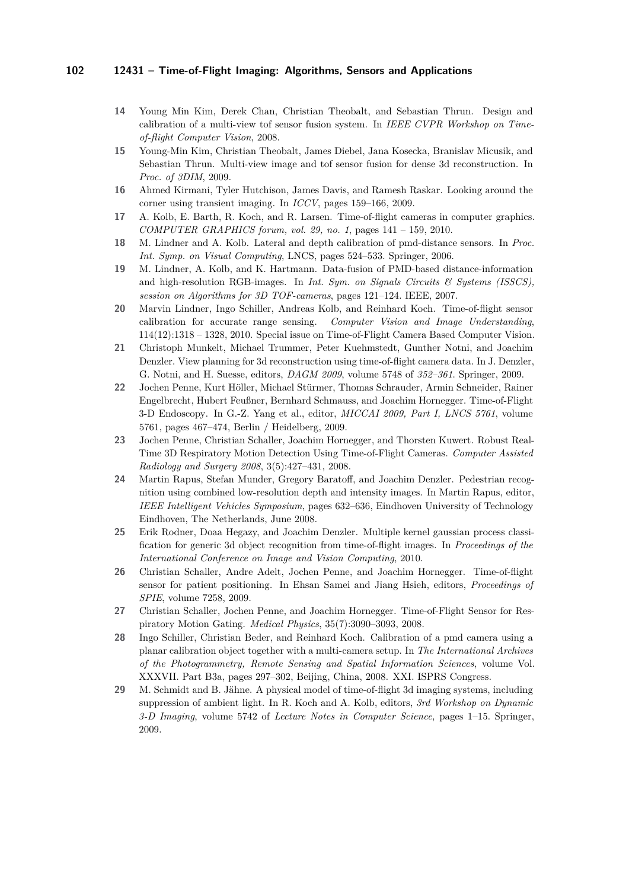- **14** Young Min Kim, Derek Chan, Christian Theobalt, and Sebastian Thrun. Design and calibration of a multi-view tof sensor fusion system. In *IEEE CVPR Workshop on Timeof-flight Computer Vision*, 2008.
- **15** Young-Min Kim, Christian Theobalt, James Diebel, Jana Kosecka, Branislav Micusik, and Sebastian Thrun. Multi-view image and tof sensor fusion for dense 3d reconstruction. In *Proc. of 3DIM*, 2009.
- <span id="page-23-10"></span>**16** Ahmed Kirmani, Tyler Hutchison, James Davis, and Ramesh Raskar. Looking around the corner using transient imaging. In *ICCV*, pages 159–166, 2009.
- <span id="page-23-6"></span>**17** A. Kolb, E. Barth, R. Koch, and R. Larsen. Time-of-flight cameras in computer graphics. *COMPUTER GRAPHICS forum, vol. 29, no. 1*, pages 141 – 159, 2010.
- **18** M. Lindner and A. Kolb. Lateral and depth calibration of pmd-distance sensors. In *Proc. Int. Symp. on Visual Computing*, LNCS, pages 524–533. Springer, 2006.
- **19** M. Lindner, A. Kolb, and K. Hartmann. Data-fusion of PMD-based distance-information and high-resolution RGB-images. In *Int. Sym. on Signals Circuits & Systems (ISSCS), session on Algorithms for 3D TOF-cameras*, pages 121–124. IEEE, 2007.
- <span id="page-23-1"></span>**20** Marvin Lindner, Ingo Schiller, Andreas Kolb, and Reinhard Koch. Time-of-flight sensor calibration for accurate range sensing. *Computer Vision and Image Understanding*, 114(12):1318 – 1328, 2010. Special issue on Time-of-Flight Camera Based Computer Vision.
- <span id="page-23-5"></span>**21** Christoph Munkelt, Michael Trummer, Peter Kuehmstedt, Gunther Notni, and Joachim Denzler. View planning for 3d reconstruction using time-of-flight camera data. In J. Denzler, G. Notni, and H. Suesse, editors, *DAGM 2009*, volume 5748 of *352–361*. Springer, 2009.
- **22** Jochen Penne, Kurt Höller, Michael Stürmer, Thomas Schrauder, Armin Schneider, Rainer Engelbrecht, Hubert Feußner, Bernhard Schmauss, and Joachim Hornegger. Time-of-Flight 3-D Endoscopy. In G.-Z. Yang et al., editor, *MICCAI 2009, Part I, LNCS 5761*, volume 5761, pages 467–474, Berlin / Heidelberg, 2009.
- <span id="page-23-9"></span>**23** Jochen Penne, Christian Schaller, Joachim Hornegger, and Thorsten Kuwert. Robust Real-Time 3D Respiratory Motion Detection Using Time-of-Flight Cameras. *Computer Assisted Radiology and Surgery 2008*, 3(5):427–431, 2008.
- <span id="page-23-4"></span>**24** Martin Rapus, Stefan Munder, Gregory Baratoff, and Joachim Denzler. Pedestrian recognition using combined low-resolution depth and intensity images. In Martin Rapus, editor, *IEEE Intelligent Vehicles Symposium*, pages 632–636, Eindhoven University of Technology Eindhoven, The Netherlands, June 2008.
- <span id="page-23-3"></span>**25** Erik Rodner, Doaa Hegazy, and Joachim Denzler. Multiple kernel gaussian process classification for generic 3d object recognition from time-of-flight images. In *Proceedings of the International Conference on Image and Vision Computing*, 2010.
- <span id="page-23-7"></span>**26** Christian Schaller, Andre Adelt, Jochen Penne, and Joachim Hornegger. Time-of-flight sensor for patient positioning. In Ehsan Samei and Jiang Hsieh, editors, *Proceedings of SPIE*, volume 7258, 2009.
- <span id="page-23-8"></span>**27** Christian Schaller, Jochen Penne, and Joachim Hornegger. Time-of-Flight Sensor for Respiratory Motion Gating. *Medical Physics*, 35(7):3090–3093, 2008.
- <span id="page-23-2"></span>**28** Ingo Schiller, Christian Beder, and Reinhard Koch. Calibration of a pmd camera using a planar calibration object together with a multi-camera setup. In *The International Archives of the Photogrammetry, Remote Sensing and Spatial Information Sciences*, volume Vol. XXXVII. Part B3a, pages 297–302, Beijing, China, 2008. XXI. ISPRS Congress.
- <span id="page-23-0"></span>**29** M. Schmidt and B. Jähne. A physical model of time-of-flight 3d imaging systems, including suppression of ambient light. In R. Koch and A. Kolb, editors, *3rd Workshop on Dynamic 3-D Imaging*, volume 5742 of *Lecture Notes in Computer Science*, pages 1–15. Springer, 2009.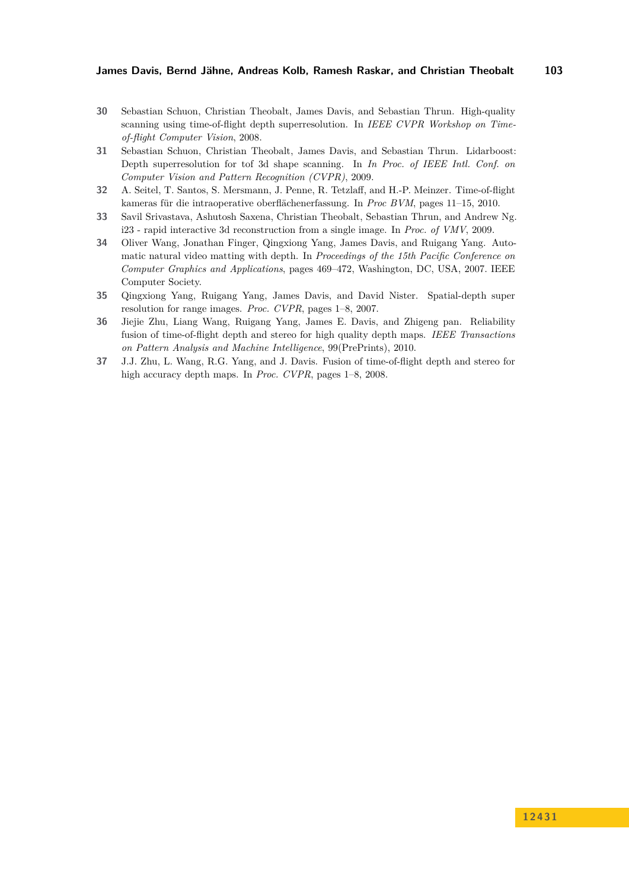- <span id="page-24-1"></span>**30** Sebastian Schuon, Christian Theobalt, James Davis, and Sebastian Thrun. High-quality scanning using time-of-flight depth superresolution. In *IEEE CVPR Workshop on Timeof-flight Computer Vision*, 2008.
- <span id="page-24-2"></span>**31** Sebastian Schuon, Christian Theobalt, James Davis, and Sebastian Thrun. Lidarboost: Depth superresolution for tof 3d shape scanning. In *In Proc. of IEEE Intl. Conf. on Computer Vision and Pattern Recognition (CVPR)*, 2009.
- **32** A. Seitel, T. Santos, S. Mersmann, J. Penne, R. Tetzlaff, and H.-P. Meinzer. Time-of-flight kameras für die intraoperative oberflächenerfassung. In *Proc BVM*, pages 11–15, 2010.
- **33** Savil Srivastava, Ashutosh Saxena, Christian Theobalt, Sebastian Thrun, and Andrew Ng. i23 - rapid interactive 3d reconstruction from a single image. In *Proc. of VMV*, 2009.
- **34** Oliver Wang, Jonathan Finger, Qingxiong Yang, James Davis, and Ruigang Yang. Automatic natural video matting with depth. In *Proceedings of the 15th Pacific Conference on Computer Graphics and Applications*, pages 469–472, Washington, DC, USA, 2007. IEEE Computer Society.
- <span id="page-24-0"></span>**35** Qingxiong Yang, Ruigang Yang, James Davis, and David Nister. Spatial-depth super resolution for range images. *Proc. CVPR*, pages 1–8, 2007.
- **36** Jiejie Zhu, Liang Wang, Ruigang Yang, James E. Davis, and Zhigeng pan. Reliability fusion of time-of-flight depth and stereo for high quality depth maps. *IEEE Transactions on Pattern Analysis and Machine Intelligence*, 99(PrePrints), 2010.
- **37** J.J. Zhu, L. Wang, R.G. Yang, and J. Davis. Fusion of time-of-flight depth and stereo for high accuracy depth maps. In *Proc. CVPR*, pages 1–8, 2008.